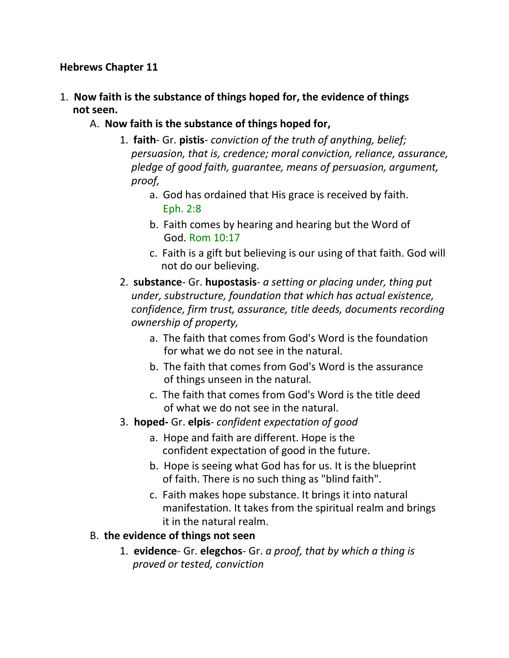#### **Hebrews Chapter 11**

- 1. **Now faith is the substance of things hoped for, the evidence of things not seen.**
	- A. **Now faith is the substance of things hoped for,**
		- 1. **faith** Gr. **pistis** *conviction of the truth of anything, belief; persuasion, that is, credence; moral conviction, reliance, assurance, pledge of good faith, guarantee, means of persuasion, argument, proof,*
			- a. God has ordained that His grace is received by faith. Eph. 2:8
			- b. Faith comes by hearing and hearing but the Word of God. Rom 10:17
			- c. Faith is a gift but believing is our using of that faith. God will not do our believing.
		- 2. **substance** Gr. **hupostasis** *a setting or placing under, thing put under, substructure, foundation that which has actual existence, confidence, firm trust, assurance, title deeds, documents recording ownership of property,*
			- a. The faith that comes from God's Word is the foundation for what we do not see in the natural.
			- b. The faith that comes from God's Word is the assurance of things unseen in the natural.
			- c. The faith that comes from God's Word is the title deed of what we do not see in the natural.
		- 3. **hoped-** Gr. **elpis** *confident expectation of good*
			- a. Hope and faith are different. Hope is the confident expectation of good in the future.
			- b. Hope is seeing what God has for us. It is the blueprint of faith. There is no such thing as "blind faith".
			- c. Faith makes hope substance. It brings it into natural manifestation. It takes from the spiritual realm and brings it in the natural realm.

#### B. **the evidence of things not seen**

1. **evidence**- Gr. **elegchos**- Gr. *a proof, that by which a thing is proved or tested, conviction*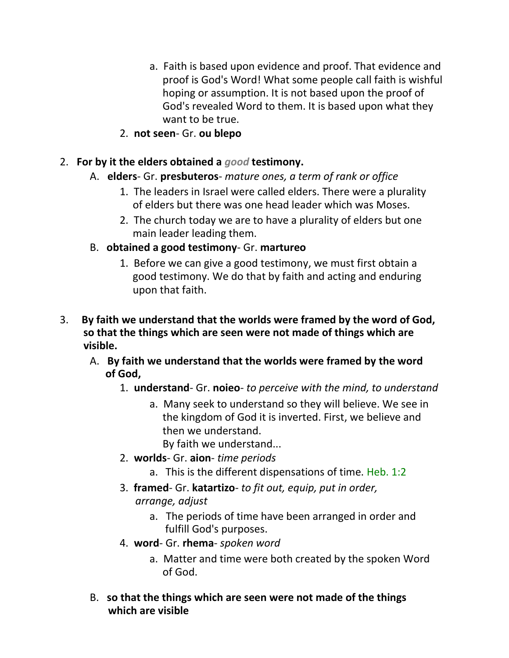- a. Faith is based upon evidence and proof. That evidence and proof is God's Word! What some people call faith is wishful hoping or assumption. It is not based upon the proof of God's revealed Word to them. It is based upon what they want to be true.
- 2. **not seen** Gr. **ou blepo**
- 2. **For by it the elders obtained a** *good* **testimony.**
	- A. **elders** Gr. **presbuteros** *mature ones, a term of rank or office*
		- 1. The leaders in Israel were called elders. There were a plurality of elders but there was one head leader which was Moses.
		- 2. The church today we are to have a plurality of elders but one main leader leading them.
	- B. **obtained a good testimony** Gr. **martureo**
		- 1. Before we can give a good testimony, we must first obtain a good testimony. We do that by faith and acting and enduring upon that faith.
- 3. **By faith we understand that the worlds were framed by the word of God, so that the things which are seen were not made of things which are visible.**
	- A. **By faith we understand that the worlds were framed by the word of God,**
		- 1. **understand** Gr. **noieo** *to perceive with the mind, to understand*
			- a. Many seek to understand so they will believe. We see in the kingdom of God it is inverted. First, we believe and then we understand.

By faith we understand...

- 2. **worlds** Gr. **aion** *time periods*
	- a. This is the different dispensations of time. Heb. 1:2
- 3. **framed** Gr. **katartizo** *to fit out, equip, put in order, arrange, adjust*
	- a. The periods of time have been arranged in order and fulfill God's purposes.
- 4. **word** Gr. **rhema** *spoken word*
	- a. Matter and time were both created by the spoken Word of God.
- B. **so that the things which are seen were not made of the things which are visible**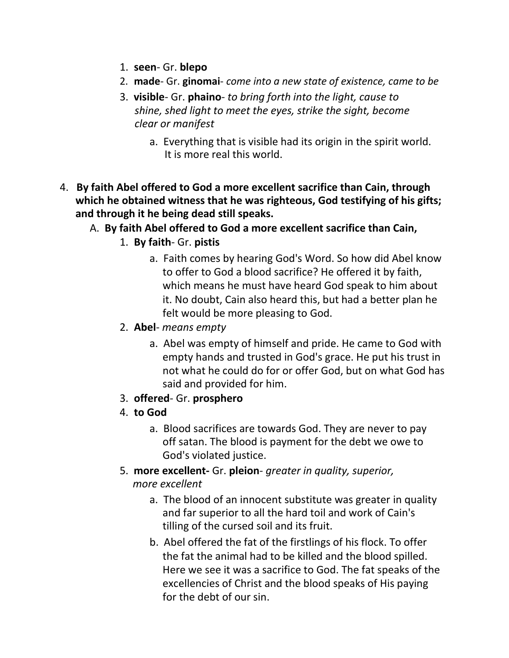- 1. **seen** Gr. **blepo**
- 2. **made** Gr. **ginomai** *come into a new state of existence, came to be*
- 3. **visible** Gr. **phaino** *to bring forth into the light, cause to shine, shed light to meet the eyes, strike the sight, become clear or manifest*
	- a. Everything that is visible had its origin in the spirit world. It is more real this world.
- 4. **By faith Abel offered to God a more excellent sacrifice than Cain, through which he obtained witness that he was righteous, God testifying of his gifts; and through it he being dead still speaks.**
	- A. **By faith Abel offered to God a more excellent sacrifice than Cain,**
		- 1. **By faith** Gr. **pistis**
			- a. Faith comes by hearing God's Word. So how did Abel know to offer to God a blood sacrifice? He offered it by faith, which means he must have heard God speak to him about it. No doubt, Cain also heard this, but had a better plan he felt would be more pleasing to God.
		- 2. **Abel** *means empty*
			- a. Abel was empty of himself and pride. He came to God with empty hands and trusted in God's grace. He put his trust in not what he could do for or offer God, but on what God has said and provided for him.
		- 3. **offered** Gr. **prosphero**
		- 4. **to God**
			- a. Blood sacrifices are towards God. They are never to pay off satan. The blood is payment for the debt we owe to God's violated justice.
		- 5. **more excellent-** Gr. **pleion** *greater in quality, superior, more excellent*
			- a. The blood of an innocent substitute was greater in quality and far superior to all the hard toil and work of Cain's tilling of the cursed soil and its fruit.
			- b. Abel offered the fat of the firstlings of his flock. To offer the fat the animal had to be killed and the blood spilled. Here we see it was a sacrifice to God. The fat speaks of the excellencies of Christ and the blood speaks of His paying for the debt of our sin.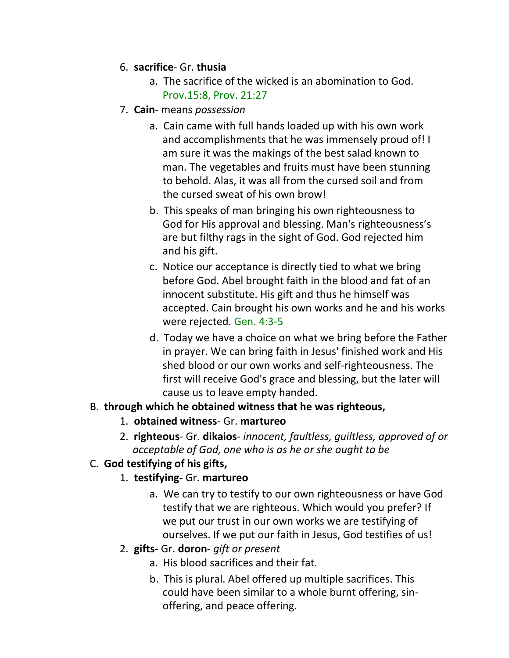- 6. **sacrifice** Gr. **thusia**
	- a. The sacrifice of the wicked is an abomination to God. Prov.15:8, Prov. 21:27
- 7. **Cain** means *possession*
	- a. Cain came with full hands loaded up with his own work and accomplishments that he was immensely proud of! I am sure it was the makings of the best salad known to man. The vegetables and fruits must have been stunning to behold. Alas, it was all from the cursed soil and from the cursed sweat of his own brow!
	- b. This speaks of man bringing his own righteousness to God for His approval and blessing. Man's righteousness's are but filthy rags in the sight of God. God rejected him and his gift.
	- c. Notice our acceptance is directly tied to what we bring before God. Abel brought faith in the blood and fat of an innocent substitute. His gift and thus he himself was accepted. Cain brought his own works and he and his works were rejected. Gen. 4:3-5
	- d. Today we have a choice on what we bring before the Father in prayer. We can bring faith in Jesus' finished work and His shed blood or our own works and self-righteousness. The first will receive God's grace and blessing, but the later will cause us to leave empty handed.

#### B. **through which he obtained witness that he was righteous,**

- 1. **obtained witness** Gr. **martureo**
- 2. **righteous** Gr. **dikaios** *innocent, faultless, guiltless, approved of or acceptable of God, one who is as he or she ought to be*

## C. **God testifying of his gifts,**

## 1. **testifying-** Gr. **martureo**

- a. We can try to testify to our own righteousness or have God testify that we are righteous. Which would you prefer? If we put our trust in our own works we are testifying of ourselves. If we put our faith in Jesus, God testifies of us!
- 2. **gifts** Gr. **doron** *gift or present*
	- a. His blood sacrifices and their fat.
	- b. This is plural. Abel offered up multiple sacrifices. This could have been similar to a whole burnt offering, sin offering, and peace offering.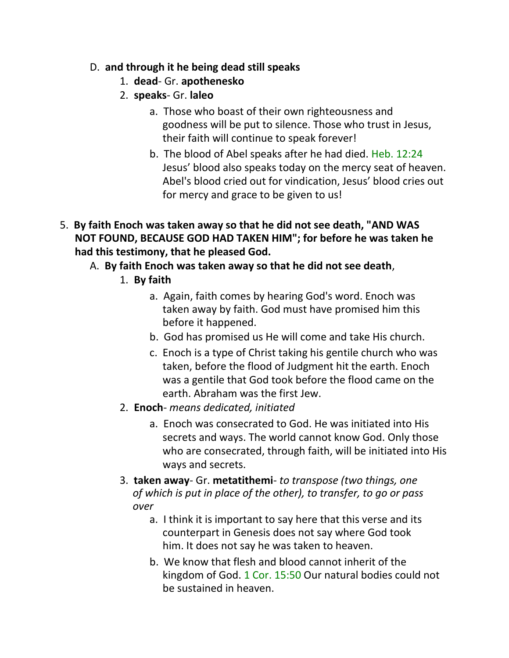- D. **and through it he being dead still speaks**
	- 1. **dead** Gr. **apothenesko**
	- 2. **speaks** Gr. **laleo**
		- a. Those who boast of their own righteousness and goodness will be put to silence. Those who trust in Jesus, their faith will continue to speak forever!
		- b. The blood of Abel speaks after he had died. Heb. 12:24 Jesus' blood also speaks today on the mercy seat of heaven. Abel's blood cried out for vindication, Jesus' blood cries out for mercy and grace to be given to us!
- 5. **By faith Enoch was taken away so that he did not see death, "AND WAS NOT FOUND, BECAUSE GOD HAD TAKEN HIM"; for before he was taken he had this testimony, that he pleased God.**
	- A. **By faith Enoch was taken away so that he did not see death**,
		- 1. **By faith**
			- a. Again, faith comes by hearing God's word. Enoch was taken away by faith. God must have promised him this before it happened.
			- b. God has promised us He will come and take His church.
			- c. Enoch is a type of Christ taking his gentile church who was taken, before the flood of Judgment hit the earth. Enoch was a gentile that God took before the flood came on the earth. Abraham was the first Jew.
		- 2. **Enoch** *means dedicated, initiated*
			- a. Enoch was consecrated to God. He was initiated into His secrets and ways. The world cannot know God. Only those who are consecrated, through faith, will be initiated into His ways and secrets.
		- 3. **taken away** Gr. **metatithemi** *to transpose (two things, one of which is put in place of the other), to transfer, to go or pass over*
			- a. I think it is important to say here that this verse and its counterpart in Genesis does not say where God took him. It does not say he was taken to heaven.
			- b. We know that flesh and blood cannot inherit of the kingdom of God. 1 Cor. 15:50 Our natural bodies could not be sustained in heaven.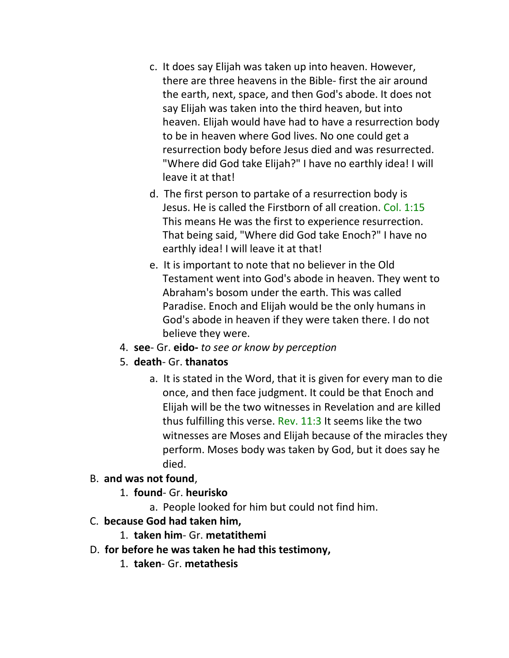- c. It does say Elijah was taken up into heaven. However, there are three heavens in the Bible- first the air around the earth, next, space, and then God's abode. It does not say Elijah was taken into the third heaven, but into heaven. Elijah would have had to have a resurrection body to be in heaven where God lives. No one could get a resurrection body before Jesus died and was resurrected. "Where did God take Elijah?" I have no earthly idea! I will leave it at that!
- d. The first person to partake of a resurrection body is Jesus. He is called the Firstborn of all creation. Col. 1:15 This means He was the first to experience resurrection. That being said, "Where did God take Enoch?" I have no earthly idea! I will leave it at that!
- e. It is important to note that no believer in the Old Testament went into God's abode in heaven. They went to Abraham's bosom under the earth. This was called Paradise. Enoch and Elijah would be the only humans in God's abode in heaven if they were taken there. I do not believe they were.
- 4. **see** Gr. **eido-** *to see or know by perception*
- 5. **death** Gr. **thanatos**
	- a. It is stated in the Word, that it is given for every man to die once, and then face judgment. It could be that Enoch and Elijah will be the two witnesses in Revelation and are killed thus fulfilling this verse. Rev. 11:3 It seems like the two witnesses are Moses and Elijah because of the miracles they perform. Moses body was taken by God, but it does say he died.

#### B. **and was not found**,

- 1. **found** Gr. **heurisko**
	- a. People looked for him but could not find him.
- C. **because God had taken him,**
	- 1. **taken him** Gr. **metatithemi**
- D. **for before he was taken he had this testimony,**
	- 1. **taken** Gr. **metathesis**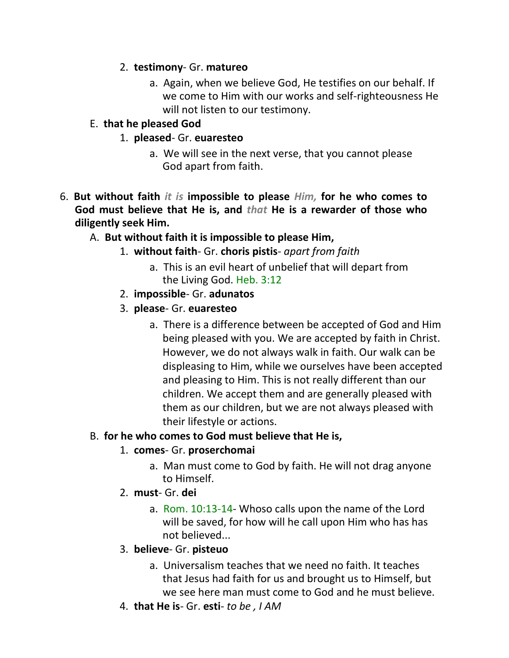### 2. **testimony**- Gr. **matureo**

a. Again, when we believe God, He testifies on our behalf. If we come to Him with our works and self-righteousness He will not listen to our testimony.

### E. **that he pleased God**

- 1. **pleased** Gr. **euaresteo**
	- a. We will see in the next verse, that you cannot please God apart from faith.
- 6. **But without faith** *it is* **impossible to please** *Him,* **for he who comes to God must believe that He is, and** *that* **He is a rewarder of those who diligently seek Him.**
	- A. **But without faith it is impossible to please Him,**
		- 1. **without faith** Gr. **choris pistis** *apart from faith*
			- a. This is an evil heart of unbelief that will depart from the Living God. Heb. 3:12
		- 2. **impossible** Gr. **adunatos**
		- 3. **please** Gr. **euaresteo**
			- a. There is a difference between be accepted of God and Him being pleased with you. We are accepted by faith in Christ. However, we do not always walk in faith. Our walk can be displeasing to Him, while we ourselves have been accepted and pleasing to Him. This is not really different than our children. We accept them and are generally pleased with them as our children, but we are not always pleased with their lifestyle or actions.

#### B. **for he who comes to God must believe that He is,**

#### 1. **comes**- Gr. **proserchomai**

- a. Man must come to God by faith. He will not drag anyone to Himself.
- 2. **must** Gr. **dei**
	- a. Rom. 10:13-14- Whoso calls upon the name of the Lord will be saved, for how will he call upon Him who has has not believed...

#### 3. **believe**- Gr. **pisteuo**

- a. Universalism teaches that we need no faith. It teaches that Jesus had faith for us and brought us to Himself, but we see here man must come to God and he must believe.
- 4. **that He is** Gr. **esti** *to be , I AM*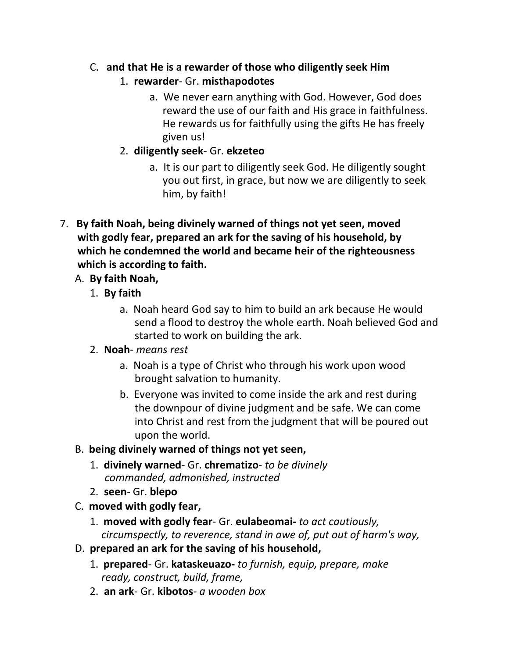- C. **and that He is a rewarder of those who diligently seek Him**
	- 1. **rewarder** Gr. **misthapodotes**
		- a. We never earn anything with God. However, God does reward the use of our faith and His grace in faithfulness. He rewards us for faithfully using the gifts He has freely given us!
	- 2. **diligently seek** Gr. **ekzeteo**
		- a. It is our part to diligently seek God. He diligently sought you out first, in grace, but now we are diligently to seek him, by faith!
- 7. **By faith Noah, being divinely warned of things not yet seen, moved with godly fear, prepared an ark for the saving of his household, by which he condemned the world and became heir of the righteousness which is according to faith.**
	- A. **By faith Noah,**
		- 1. **By faith**
			- a. Noah heard God say to him to build an ark because He would send a flood to destroy the whole earth. Noah believed God and started to work on building the ark.
		- 2. **Noah** *means rest*
			- a. Noah is a type of Christ who through his work upon wood brought salvation to humanity.
			- b. Everyone was invited to come inside the ark and rest during the downpour of divine judgment and be safe. We can come into Christ and rest from the judgment that will be poured out upon the world.
	- B. **being divinely warned of things not yet seen,**
		- 1. **divinely warned** Gr. **chrematizo** *to be divinely commanded, admonished, instructed*
		- 2. **seen** Gr. **blepo**
	- C. **moved with godly fear,**
		- 1. **moved with godly fear** Gr. **eulabeomai-** *to act cautiously, circumspectly, to reverence, stand in awe of, put out of harm's way,*
	- D. **prepared an ark for the saving of his household,**
		- 1. **prepared** Gr. **kataskeuazo-** *to furnish, equip, prepare, make ready, construct, build, frame,*
		- 2. **an ark** Gr. **kibotos** *a wooden box*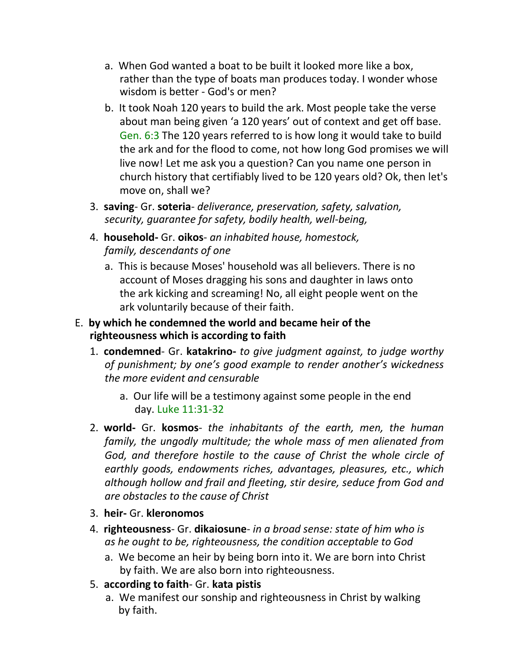- a. When God wanted a boat to be built it looked more like a box, rather than the type of boats man produces today. I wonder whose wisdom is better - God's or men?
- b. It took Noah 120 years to build the ark. Most people take the verse about man being given 'a 120 years' out of context and get off base. Gen. 6:3 The 120 years referred to is how long it would take to build the ark and for the flood to come, not how long God promises we will live now! Let me ask you a question? Can you name one person in church history that certifiably lived to be 120 years old? Ok, then let's move on, shall we?
- 3. **saving** Gr. **soteria** *deliverance, preservation, safety, salvation, security, guarantee for safety, bodily health, well-being,*
- 4. **household-** Gr. **oikos** *an inhabited house, homestock, family, descendants of one*
	- a. This is because Moses' household was all believers. There is no account of Moses dragging his sons and daughter in laws onto the ark kicking and screaming! No, all eight people went on the ark voluntarily because of their faith.

### E. **by which he condemned the world and became heir of the righteousness which is according to faith**

- 1. **condemned** Gr. **katakrino-** *to give judgment against, to judge worthy of punishment; by one's good example to render another's wickedness the more evident and censurable*
	- a. Our life will be a testimony against some people in the end day. Luke 11:31-32
- 2. **world-** Gr. **kosmos** *the inhabitants of the earth, men, the human family, the ungodly multitude; the whole mass of men alienated from God, and therefore hostile to the cause of Christ the whole circle of earthly goods, endowments riches, advantages, pleasures, etc., which although hollow and frail and fleeting, stir desire, seduce from God and are obstacles to the cause of Christ*
- 3. **heir-** Gr. **kleronomos**
- 4. **righteousness** Gr. **dikaiosune** *in a broad sense: state of him who is as he ought to be, righteousness, the condition acceptable to God*
	- a. We become an heir by being born into it. We are born into Christ by faith. We are also born into righteousness.
- 5. **according to faith** Gr. **kata pistis**
	- a. We manifest our sonship and righteousness in Christ by walking by faith.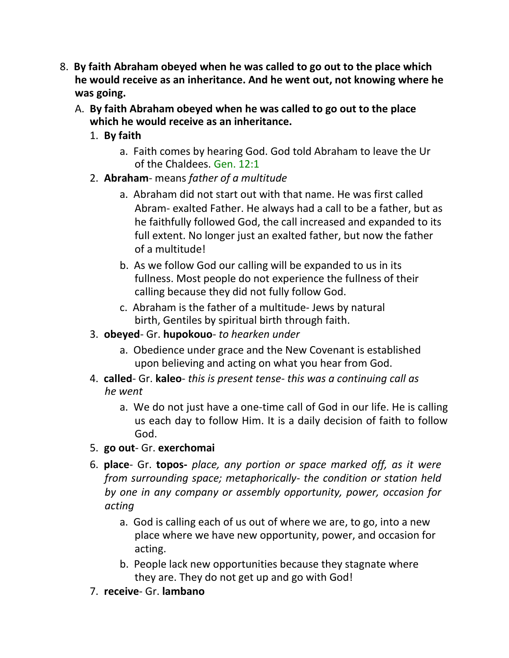- 8. **By faith Abraham obeyed when he was called to go out to the place which he would receive as an inheritance. And he went out, not knowing where he was going.**
	- A. **By faith Abraham obeyed when he was called to go out to the place which he would receive as an inheritance.**
		- 1. **By faith**
			- a. Faith comes by hearing God. God told Abraham to leave the Ur of the Chaldees. Gen. 12:1
		- 2. **Abraham** means *father of a multitude*
			- a. Abraham did not start out with that name. He was first called Abram- exalted Father. He always had a call to be a father, but as he faithfully followed God, the call increased and expanded to its full extent. No longer just an exalted father, but now the father of a multitude!
			- b. As we follow God our calling will be expanded to us in its fullness. Most people do not experience the fullness of their calling because they did not fully follow God.
			- c. Abraham is the father of a multitude- Jews by natural birth, Gentiles by spiritual birth through faith.
		- 3. **obeyed** Gr. **hupokouo** *to hearken under*
			- a. Obedience under grace and the New Covenant is established upon believing and acting on what you hear from God.
		- 4. **called** Gr. **kaleo** *this is present tense- this was a continuing call as he went*
			- a. We do not just have a one-time call of God in our life. He is calling us each day to follow Him. It is a daily decision of faith to follow God.
		- 5. **go out** Gr. **exerchomai**
		- 6. **place** Gr. **topos-** *place, any portion or space marked off, as it were from surrounding space; metaphorically- the condition or station held by one in any company or assembly opportunity, power, occasion for acting*
			- a. God is calling each of us out of where we are, to go, into a new place where we have new opportunity, power, and occasion for acting.
			- b. People lack new opportunities because they stagnate where they are. They do not get up and go with God!
		- 7. **receive** Gr. **lambano**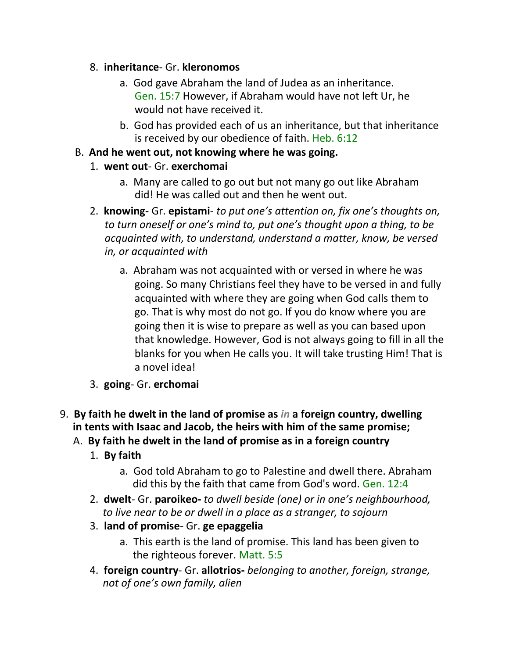### 8. **inheritance**- Gr. **kleronomos**

- a. God gave Abraham the land of Judea as an inheritance. Gen. 15:7 However, if Abraham would have not left Ur, he would not have received it.
- b. God has provided each of us an inheritance, but that inheritance is received by our obedience of faith. Heb. 6:12

### B. **And he went out, not knowing where he was going.**

## 1. **went out**- Gr. **exerchomai**

- a. Many are called to go out but not many go out like Abraham did! He was called out and then he went out.
- 2. **knowing-** Gr. **epistami** *to put one's attention on, fix one's thoughts on, to turn oneself or one's mind to, put one's thought upon a thing, to be acquainted with, to understand, understand a matter, know, be versed in, or acquainted with*
	- a. Abraham was not acquainted with or versed in where he was going. So many Christians feel they have to be versed in and fully acquainted with where they are going when God calls them to go. That is why most do not go. If you do know where you are going then it is wise to prepare as well as you can based upon that knowledge. However, God is not always going to fill in all the blanks for you when He calls you. It will take trusting Him! That is a novel idea!
- 3. **going** Gr. **erchomai**
- 9. **By faith he dwelt in the land of promise as** *in* **a foreign country, dwelling in tents with Isaac and Jacob, the heirs with him of the same promise;**
	- A. **By faith he dwelt in the land of promise as in a foreign country**
		- 1. **By faith**
			- a. God told Abraham to go to Palestine and dwell there. Abraham did this by the faith that came from God's word. Gen. 12:4
		- 2. **dwelt** Gr. **paroikeo-** *to dwell beside (one) or in one's neighbourhood, to live near to be or dwell in a place as a stranger, to sojourn*
		- 3. **land of promise** Gr. **ge epaggelia**
			- a. This earth is the land of promise. This land has been given to the righteous forever. Matt. 5:5
		- 4. **foreign country** Gr. **allotrios-** *belonging to another, foreign, strange, not of one's own family, alien*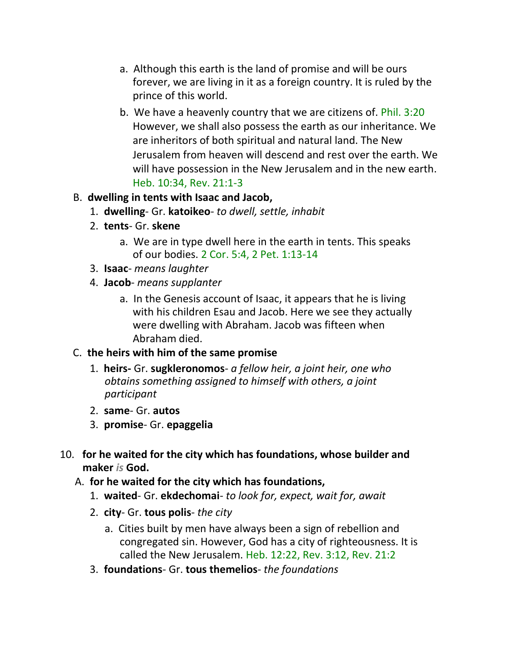- a. Although this earth is the land of promise and will be ours forever, we are living in it as a foreign country. It is ruled by the prince of this world.
- b. We have a heavenly country that we are citizens of. Phil. 3:20 However, we shall also possess the earth as our inheritance. We are inheritors of both spiritual and natural land. The New Jerusalem from heaven will descend and rest over the earth. We will have possession in the New Jerusalem and in the new earth. Heb. 10:34, Rev. 21:1-3

#### B. **dwelling in tents with Isaac and Jacob,**

- 1. **dwelling** Gr. **katoikeo** *to dwell, settle, inhabit*
- 2. **tents** Gr. **skene**
	- a. We are in type dwell here in the earth in tents. This speaks of our bodies. 2 Cor. 5:4, 2 Pet. 1:13-14
- 3. **Isaac** *means laughter*
- 4. **Jacob** *means supplanter*
	- a. In the Genesis account of Isaac, it appears that he is living with his children Esau and Jacob. Here we see they actually were dwelling with Abraham. Jacob was fifteen when Abraham died.

#### C. **the heirs with him of the same promise**

- 1. **heirs-** Gr. **sugkleronomos** *a fellow heir, a joint heir, one who obtains something assigned to himself with others, a joint participant*
- 2. **same** Gr. **autos**
- 3. **promise** Gr. **epaggelia**
- 10. **for he waited for the city which has foundations, whose builder and maker** *is* **God.**
	- A. **for he waited for the city which has foundations,**
		- 1. **waited** Gr. **ekdechomai** *to look for, expect, wait for, await*
		- 2. **city** Gr. **tous polis** *the city*
			- a. Cities built by men have always been a sign of rebellion and congregated sin. However, God has a city of righteousness. It is called the New Jerusalem. Heb. 12:22, Rev. 3:12, Rev. 21:2
		- 3. **foundations** Gr. **tous themelios** *the foundations*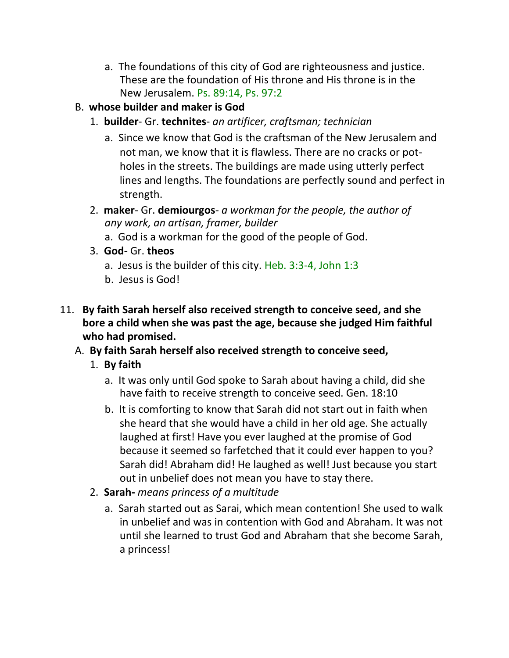- a. The foundations of this city of God are righteousness and justice. These are the foundation of His throne and His throne is in the New Jerusalem. Ps. 89:14, Ps. 97:2
- B. **whose builder and maker is God**
	- 1. **builder** Gr. **technites** *an artificer, craftsman; technician*
		- a. Since we know that God is the craftsman of the New Jerusalem and not man, we know that it is flawless. There are no cracks or potholes in the streets. The buildings are made using utterly perfect lines and lengths. The foundations are perfectly sound and perfect in strength.
	- 2. **maker** Gr. **demiourgos** *a workman for the people, the author of any work, an artisan, framer, builder*
		- a. God is a workman for the good of the people of God.
	- 3. **God-** Gr. **theos**
		- a. Jesus is the builder of this city. Heb. 3:3-4, John 1:3
		- b. Jesus is God!
- 11. **By faith Sarah herself also received strength to conceive seed, and she bore a child when she was past the age, because she judged Him faithful who had promised.**
	- A. **By faith Sarah herself also received strength to conceive seed,**
		- 1. **By faith**
			- a. It was only until God spoke to Sarah about having a child, did she have faith to receive strength to conceive seed. Gen. 18:10
			- b. It is comforting to know that Sarah did not start out in faith when she heard that she would have a child in her old age. She actually laughed at first! Have you ever laughed at the promise of God because it seemed so farfetched that it could ever happen to you? Sarah did! Abraham did! He laughed as well! Just because you start out in unbelief does not mean you have to stay there.
		- 2. **Sarah-** *means princess of a multitude*
			- a. Sarah started out as Sarai, which mean contention! She used to walk in unbelief and was in contention with God and Abraham. It was not until she learned to trust God and Abraham that she become Sarah, a princess!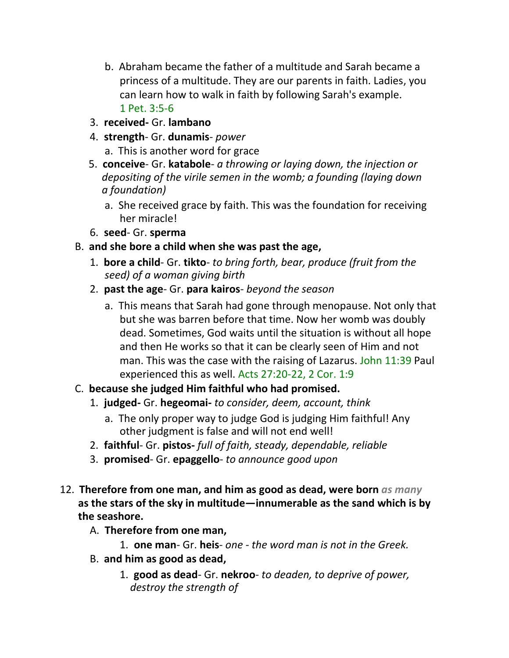- b. Abraham became the father of a multitude and Sarah became a princess of a multitude. They are our parents in faith. Ladies, you can learn how to walk in faith by following Sarah's example. 1 Pet. 3:5-6
- 3. **received-** Gr. **lambano**
- 4. **strength** Gr. **dunamis** *power*
	- a. This is another word for grace
- 5. **conceive** Gr. **katabole** *a throwing or laying down, the injection or depositing of the virile semen in the womb; a founding (laying down a foundation)*
	- a. She received grace by faith. This was the foundation for receiving her miracle!
- 6. **seed** Gr. **sperma**
- B. **and she bore a child when she was past the age,**
	- 1. **bore a child** Gr. **tikto** *to bring forth, bear, produce (fruit from the seed) of a woman giving birth*
	- 2. **past the age** Gr. **para kairos** *beyond the season*
		- a. This means that Sarah had gone through menopause. Not only that but she was barren before that time. Now her womb was doubly dead. Sometimes, God waits until the situation is without all hope and then He works so that it can be clearly seen of Him and not man. This was the case with the raising of Lazarus. John 11:39 Paul experienced this as well. Acts 27:20-22, 2 Cor. 1:9
- C. **because she judged Him faithful who had promised.**
	- 1. **judged-** Gr. **hegeomai-** *to consider, deem, account, think*
		- a. The only proper way to judge God is judging Him faithful! Any other judgment is false and will not end well!
	- 2. **faithful** Gr. **pistos-** *full of faith, steady, dependable, reliable*
	- 3. **promised** Gr. **epaggello** *to announce good upon*
- 12. **Therefore from one man, and him as good as dead, were born** *as many*  **as the stars of the sky in multitude—innumerable as the sand which is by the seashore.**
	- A. **Therefore from one man,**
		- 1. **one man** Gr. **heis** *one - the word man is not in the Greek.*
	- B. **and him as good as dead,**
		- 1. **good as dead** Gr. **nekroo** *to deaden, to deprive of power, destroy the strength of*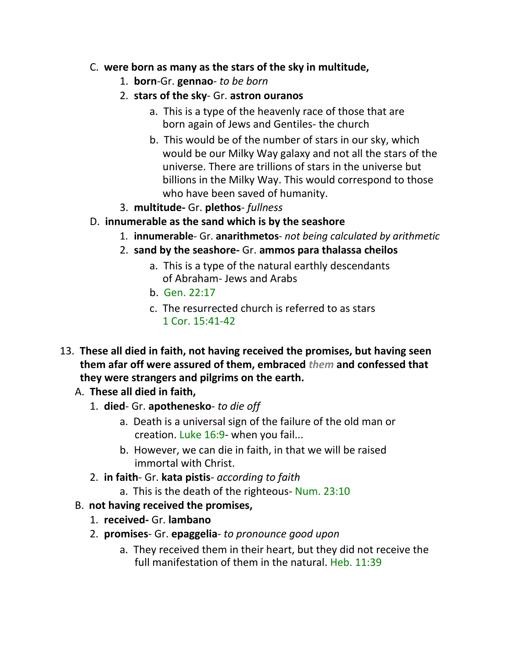### C. **were born as many as the stars of the sky in multitude,**

- 1. **born**-Gr. **gennao** *to be born*
- 2. **stars of the sky** Gr. **astron ouranos**
	- a. This is a type of the heavenly race of those that are born again of Jews and Gentiles- the church
	- b. This would be of the number of stars in our sky, which would be our Milky Way galaxy and not all the stars of the universe. There are trillions of stars in the universe but billions in the Milky Way. This would correspond to those who have been saved of humanity.
- 3. **multitude-** Gr. **plethos** *fullness*
- D. **innumerable as the sand which is by the seashore**
	- 1. **innumerable** Gr. **anarithmetos** *not being calculated by arithmetic*
	- 2. **sand by the seashore-** Gr. **ammos para thalassa cheilos**
		- a. This is a type of the natural earthly descendants of Abraham- Jews and Arabs
		- $h$  Gen  $22.17$
		- c. The resurrected church is referred to as stars 1 Cor. 15:41-42
- 13. **These all died in faith, not having received the promises, but having seen them afar off were assured of them, embraced** *them* **and confessed that they were strangers and pilgrims on the earth.**
	- A. **These all died in faith,**
		- 1. **died** Gr. **apothenesko** *to die off*
			- a. Death is a universal sign of the failure of the old man or creation. Luke 16:9- when you fail...
			- b. However, we can die in faith, in that we will be raised immortal with Christ.
		- 2. **in faith** Gr. **kata pistis** *according to faith*
			- a. This is the death of the righteous- Num. 23:10
	- B. **not having received the promises,**
		- 1. **received-** Gr. **lambano**
		- 2. **promises** Gr. **epaggelia** *to pronounce good upon*
			- a. They received them in their heart, but they did not receive the full manifestation of them in the natural. Heb. 11:39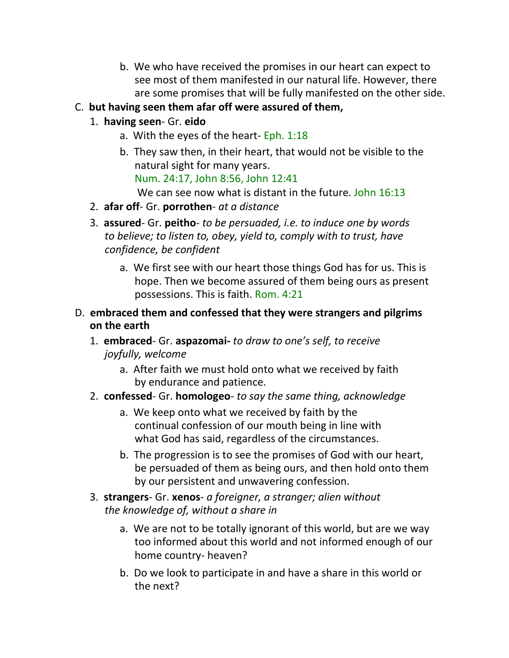b. We who have received the promises in our heart can expect to see most of them manifested in our natural life. However, there are some promises that will be fully manifested on the other side.

## C. **but having seen them afar off were assured of them,**

# 1. **having seen**- Gr. **eido**

- a. With the eyes of the heart- Eph. 1:18
- b. They saw then, in their heart, that would not be visible to the natural sight for many years.

Num. 24:17, John 8:56, John 12:41

We can see now what is distant in the future. John 16:13

- 2. **afar off** Gr. **porrothen** *at a distance*
- 3. **assured** Gr. **peitho** *to be persuaded, i.e. to induce one by words to believe; to listen to, obey, yield to, comply with to trust, have confidence, be confident*
	- a. We first see with our heart those things God has for us. This is hope. Then we become assured of them being ours as present possessions. This is faith. Rom. 4:21
- D. **embraced them and confessed that they were strangers and pilgrims on the earth**
	- 1. **embraced** Gr. **aspazomai-** *to draw to one's self, to receive joyfully, welcome*
		- a. After faith we must hold onto what we received by faith by endurance and patience.
	- 2. **confessed** Gr. **homologeo** *to say the same thing, acknowledge*
		- a. We keep onto what we received by faith by the continual confession of our mouth being in line with what God has said, regardless of the circumstances.
		- b. The progression is to see the promises of God with our heart, be persuaded of them as being ours, and then hold onto them by our persistent and unwavering confession.
	- 3. **strangers** Gr. **xenos** *a foreigner, a stranger; alien without the knowledge of, without a share in*
		- a. We are not to be totally ignorant of this world, but are we way too informed about this world and not informed enough of our home country- heaven?
		- b. Do we look to participate in and have a share in this world or the next?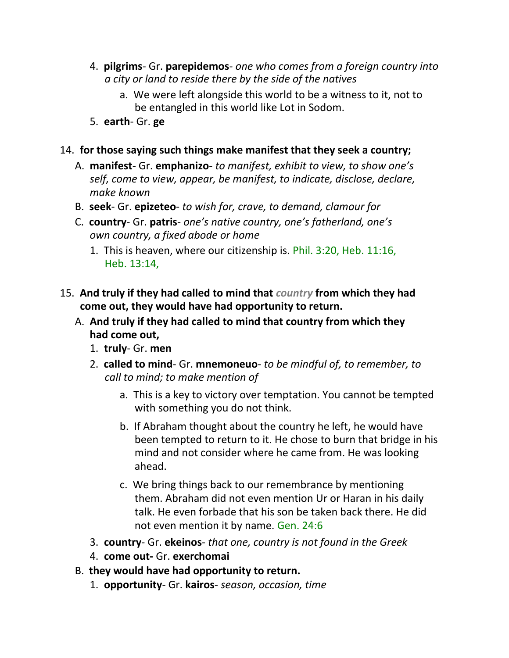- 4. **pilgrims** Gr. **parepidemos** *one who comes from a foreign country into a city or land to reside there by the side of the natives*
	- a. We were left alongside this world to be a witness to it, not to be entangled in this world like Lot in Sodom.
- 5. **earth** Gr. **ge**

#### 14. **for those saying such things make manifest that they seek a country;**

- A. **manifest** Gr. **emphanizo** *to manifest, exhibit to view, to show one's self, come to view, appear, be manifest, to indicate, disclose, declare, make known*
- B. **seek** Gr. **epizeteo** *to wish for, crave, to demand, clamour for*
- C. **country** Gr. **patris** *one's native country, one's fatherland, one's own country, a fixed abode or home*
	- 1. This is heaven, where our citizenship is. Phil. 3:20, Heb. 11:16, Heb. 13:14,
- 15. **And truly if they had called to mind that** *country* **from which they had come out, they would have had opportunity to return.**
	- A. **And truly if they had called to mind that country from which they had come out,**
		- 1. **truly** Gr. **men**
		- 2. **called to mind** Gr. **mnemoneuo** *to be mindful of, to remember, to call to mind; to make mention of*
			- a. This is a key to victory over temptation. You cannot be tempted with something you do not think.
			- b. If Abraham thought about the country he left, he would have been tempted to return to it. He chose to burn that bridge in his mind and not consider where he came from. He was looking ahead.
			- c. We bring things back to our remembrance by mentioning them. Abraham did not even mention Ur or Haran in his daily talk. He even forbade that his son be taken back there. He did not even mention it by name. Gen. 24:6
		- 3. **country** Gr. **ekeinos** *that one, country is not found in the Greek*
		- 4. **come out-** Gr. **exerchomai**
	- B. **they would have had opportunity to return.**
		- 1. **opportunity** Gr. **kairos** *season, occasion, time*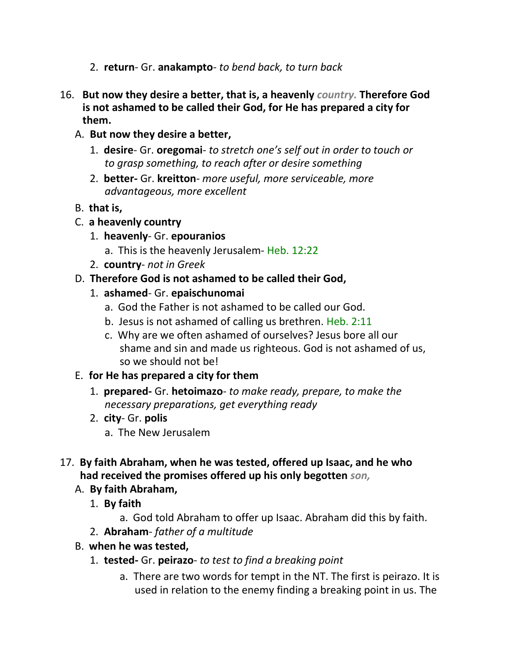- 2. **return** Gr. **anakampto** *to bend back, to turn back*
- 16. **But now they desire a better, that is, a heavenly** *country.* **Therefore God is not ashamed to be called their God, for He has prepared a city for them.**
	- A. **But now they desire a better,**
		- 1. **desire** Gr. **oregomai** *to stretch one's self out in order to touch or to grasp something, to reach after or desire something*
		- 2. **better-** Gr. **kreitton** *more useful, more serviceable, more advantageous, more excellent*
	- B. **that is,**
	- C. **a heavenly country**
		- 1. **heavenly** Gr. **epouranios**
			- a. This is the heavenly Jerusalem- Heb. 12:22
		- 2. **country** *not in Greek*
	- D. **Therefore God is not ashamed to be called their God,**
		- 1. **ashamed** Gr. **epaischunomai**
			- a. God the Father is not ashamed to be called our God.
			- b. Jesus is not ashamed of calling us brethren. Heb. 2:11
			- c. Why are we often ashamed of ourselves? Jesus bore all our shame and sin and made us righteous. God is not ashamed of us, so we should not be!

## E. **for He has prepared a city for them**

- 1. **prepared-** Gr. **hetoimazo** *to make ready, prepare, to make the necessary preparations, get everything ready*
- 2. **city** Gr. **polis**
	- a. The New Jerusalem
- 17. **By faith Abraham, when he was tested, offered up Isaac, and he who had received the promises offered up his only begotten** *son,*
	- A. **By faith Abraham,**
		- 1. **By faith**

a. God told Abraham to offer up Isaac. Abraham did this by faith.

- 2. **Abraham** *father of a multitude*
- B. **when he was tested,**
	- 1. **tested-** Gr. **peirazo** *to test to find a breaking point*
		- a. There are two words for tempt in the NT. The first is peirazo. It is used in relation to the enemy finding a breaking point in us. The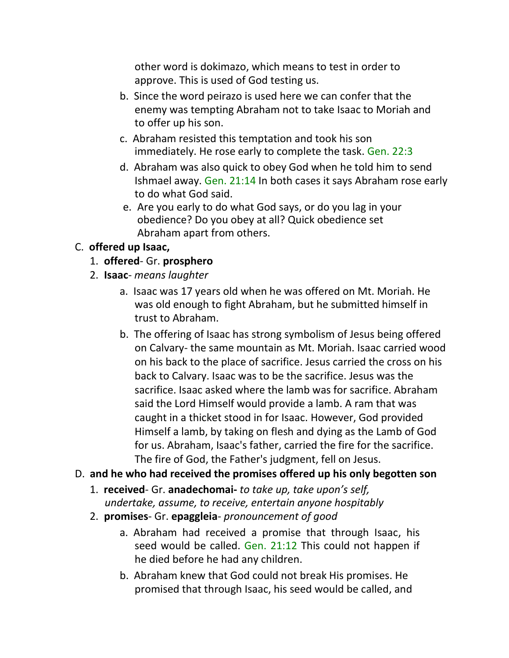other word is dokimazo, which means to test in order to approve. This is used of God testing us.

- b. Since the word peirazo is used here we can confer that the enemy was tempting Abraham not to take Isaac to Moriah and to offer up his son.
- c. Abraham resisted this temptation and took his son immediately. He rose early to complete the task. Gen. 22:3
- d. Abraham was also quick to obey God when he told him to send Ishmael away. Gen. 21:14 In both cases it says Abraham rose early to do what God said.
- e. Are you early to do what God says, or do you lag in your obedience? Do you obey at all? Quick obedience set Abraham apart from others.

## C. **offered up Isaac,**

- 1. **offered** Gr. **prosphero**
- 2. **Isaac** *means laughter*
	- a. Isaac was 17 years old when he was offered on Mt. Moriah. He was old enough to fight Abraham, but he submitted himself in trust to Abraham.
	- b. The offering of Isaac has strong symbolism of Jesus being offered on Calvary- the same mountain as Mt. Moriah. Isaac carried wood on his back to the place of sacrifice. Jesus carried the cross on his back to Calvary. Isaac was to be the sacrifice. Jesus was the sacrifice. Isaac asked where the lamb was for sacrifice. Abraham said the Lord Himself would provide a lamb. A ram that was caught in a thicket stood in for Isaac. However, God provided Himself a lamb, by taking on flesh and dying as the Lamb of God for us. Abraham, Isaac's father, carried the fire for the sacrifice. The fire of God, the Father's judgment, fell on Jesus.

## D. **and he who had received the promises offered up his only begotten son**

- 1. **received** Gr. **anadechomai-** *to take up, take upon's self, undertake, assume, to receive, entertain anyone hospitably*
- 2. **promises** Gr. **epaggleia** *pronouncement of good*
	- a. Abraham had received a promise that through Isaac, his seed would be called. Gen. 21:12 This could not happen if he died before he had any children.
	- b. Abraham knew that God could not break His promises. He promised that through Isaac, his seed would be called, and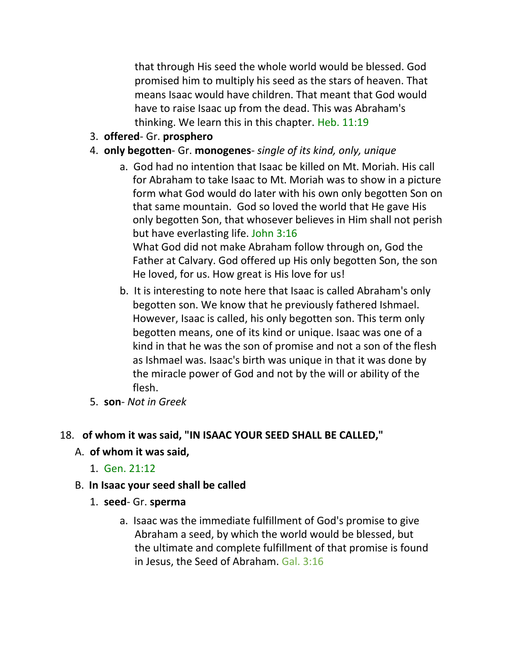that through His seed the whole world would be blessed. God promised him to multiply his seed as the stars of heaven. That means Isaac would have children. That meant that God would have to raise Isaac up from the dead. This was Abraham's thinking. We learn this in this chapter. Heb. 11:19

- 3. **offered** Gr. **prosphero**
- 4. **only begotten** Gr. **monogenes** *single of its kind, only, unique*
	- a. God had no intention that Isaac be killed on Mt. Moriah. His call for Abraham to take Isaac to Mt. Moriah was to show in a picture form what God would do later with his own only begotten Son on that same mountain. God so loved the world that He gave His only begotten Son, that whosever believes in Him shall not perish but have everlasting life. John 3:16 What God did not make Abraham follow through on, God the Father at Calvary. God offered up His only begotten Son, the son He loved, for us. How great is His love for us!
	- b. It is interesting to note here that Isaac is called Abraham's only begotten son. We know that he previously fathered Ishmael. However, Isaac is called, his only begotten son. This term only begotten means, one of its kind or unique. Isaac was one of a kind in that he was the son of promise and not a son of the flesh as Ishmael was. Isaac's birth was unique in that it was done by the miracle power of God and not by the will or ability of the flesh.
- 5. **son** *Not in Greek*

## 18. **of whom it was said, "IN ISAAC YOUR SEED SHALL BE CALLED,"**

## A. **of whom it was said,**

- 1. Gen. 21:12
- B. **In Isaac your seed shall be called**
	- 1. **seed** Gr. **sperma**
		- a. Isaac was the immediate fulfillment of God's promise to give Abraham a seed, by which the world would be blessed, but the ultimate and complete fulfillment of that promise is found in Jesus, the Seed of Abraham. Gal. 3:16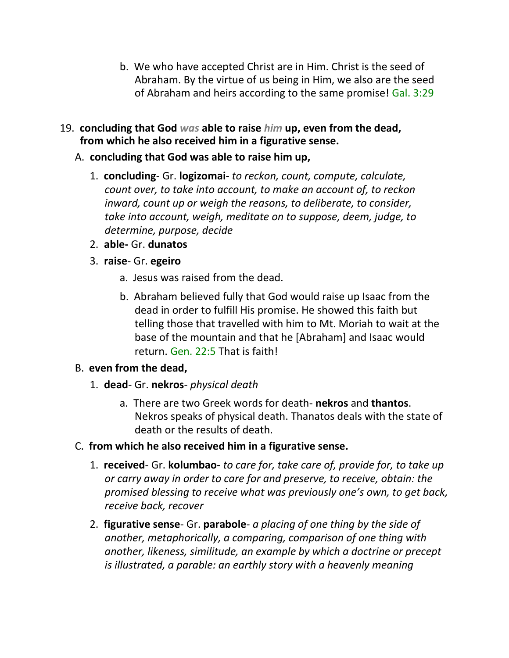- b. We who have accepted Christ are in Him. Christ is the seed of Abraham. By the virtue of us being in Him, we also are the seed of Abraham and heirs according to the same promise! Gal. 3:29
- 19. **concluding that God** *was* **able to raise** *him* **up, even from the dead, from which he also received him in a figurative sense.**
	- A. **concluding that God was able to raise him up,**
		- 1. **concluding** Gr. **logizomai-** *to reckon, count, compute, calculate, count over, to take into account, to make an account of, to reckon inward, count up or weigh the reasons, to deliberate, to consider, take into account, weigh, meditate on to suppose, deem, judge, to determine, purpose, decide*
		- 2. **able-** Gr. **dunatos**
		- 3. **raise** Gr. **egeiro**
			- a. Jesus was raised from the dead.
			- b. Abraham believed fully that God would raise up Isaac from the dead in order to fulfill His promise. He showed this faith but telling those that travelled with him to Mt. Moriah to wait at the base of the mountain and that he [Abraham] and Isaac would return. Gen. 22:5 That is faith!

## B. **even from the dead,**

- 1. **dead** Gr. **nekros** *physical death*
	- a. There are two Greek words for death- **nekros** and **thantos**. Nekros speaks of physical death. Thanatos deals with the state of death or the results of death.
- C. **from which he also received him in a figurative sense.**
	- 1. **received** Gr. **kolumbao-** *to care for, take care of, provide for, to take up or carry away in order to care for and preserve, to receive, obtain: the promised blessing to receive what was previously one's own, to get back, receive back, recover*
	- 2. **figurative sense** Gr. **parabole** *a placing of one thing by the side of another, metaphorically, a comparing, comparison of one thing with another, likeness, similitude, an example by which a doctrine or precept is illustrated, a parable: an earthly story with a heavenly meaning*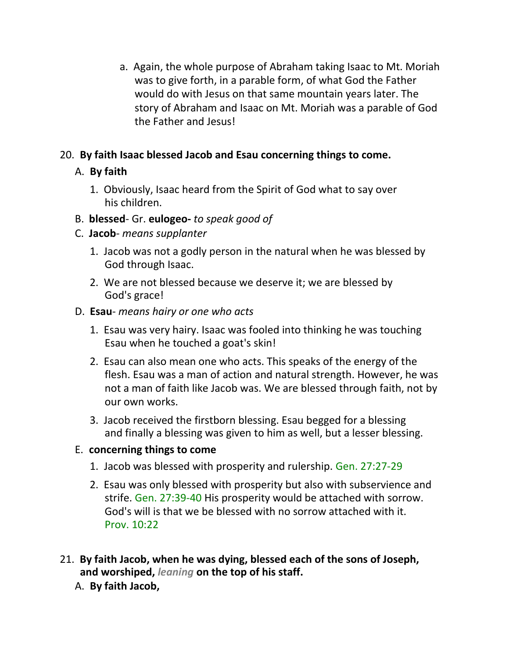a. Again, the whole purpose of Abraham taking Isaac to Mt. Moriah was to give forth, in a parable form, of what God the Father would do with Jesus on that same mountain years later. The story of Abraham and Isaac on Mt. Moriah was a parable of God the Father and Jesus!

## 20. **By faith Isaac blessed Jacob and Esau concerning things to come.**

## A. **By faith**

- 1. Obviously, Isaac heard from the Spirit of God what to say over his children.
- B. **blessed** Gr. **eulogeo-** *to speak good of*
- C. **Jacob** *means supplanter*
	- 1. Jacob was not a godly person in the natural when he was blessed by God through Isaac.
	- 2. We are not blessed because we deserve it; we are blessed by God's grace!
- D. **Esau** *means hairy or one who acts*
	- 1. Esau was very hairy. Isaac was fooled into thinking he was touching Esau when he touched a goat's skin!
	- 2. Esau can also mean one who acts. This speaks of the energy of the flesh. Esau was a man of action and natural strength. However, he was not a man of faith like Jacob was. We are blessed through faith, not by our own works.
	- 3. Jacob received the firstborn blessing. Esau begged for a blessing and finally a blessing was given to him as well, but a lesser blessing.

# E. **concerning things to come**

- 1. Jacob was blessed with prosperity and rulership. Gen. 27:27-29
- 2. Esau was only blessed with prosperity but also with subservience and strife. Gen. 27:39-40 His prosperity would be attached with sorrow. God's will is that we be blessed with no sorrow attached with it. Prov. 10:22
- 21. **By faith Jacob, when he was dying, blessed each of the sons of Joseph, and worshiped,** *leaning* **on the top of his staff.**
	- A. **By faith Jacob,**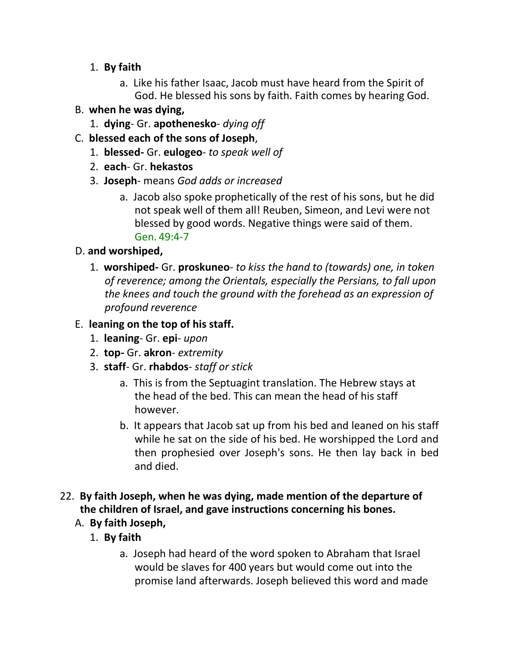- 1. **By faith**
	- a. Like his father Isaac, Jacob must have heard from the Spirit of God. He blessed his sons by faith. Faith comes by hearing God.

# B. **when he was dying,**

- 1. **dying** Gr. **apothenesko** *dying off*
- C. **blessed each of the sons of Joseph**,
	- 1. **blessed-** Gr. **eulogeo** *to speak well of*
	- 2. **each** Gr. **hekastos**
	- 3. **Joseph** means *God adds or increased*
		- a. Jacob also spoke prophetically of the rest of his sons, but he did not speak well of them all! Reuben, Simeon, and Levi were not blessed by good words. Negative things were said of them. Gen. 49:4-7

# D. **and worshiped,**

1. **worshiped-** Gr. **proskuneo**- *to kiss the hand to (towards) one, in token of reverence; among the Orientals, especially the Persians, to fall upon the knees and touch the ground with the forehead as an expression of profound reverence*

# E. **leaning on the top of his staff.**

- 1. **leaning** Gr. **epi** *upon*
- 2. **top-** Gr. **akron** *extremity*
- 3. **staff** Gr. **rhabdos** *staff or stick*
	- a. This is from the Septuagint translation. The Hebrew stays at the head of the bed. This can mean the head of his staff however.
	- b. It appears that Jacob sat up from his bed and leaned on his staff while he sat on the side of his bed. He worshipped the Lord and then prophesied over Joseph's sons. He then lay back in bed and died.

# 22. **By faith Joseph, when he was dying, made mention of the departure of the children of Israel, and gave instructions concerning his bones.**

# A. **By faith Joseph,**

- 1. **By faith**
	- a. Joseph had heard of the word spoken to Abraham that Israel would be slaves for 400 years but would come out into the promise land afterwards. Joseph believed this word and made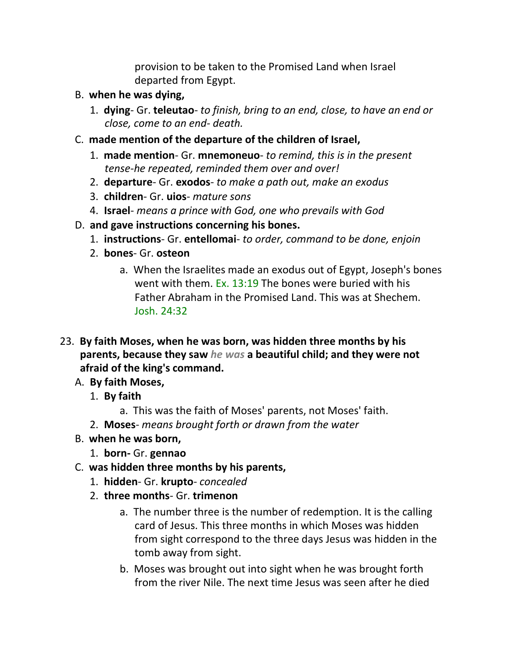provision to be taken to the Promised Land when Israel departed from Egypt.

- B. **when he was dying,**
	- 1. **dying** Gr. **teleutao** *to finish, bring to an end, close, to have an end or close, come to an end- death.*
- C. **made mention of the departure of the children of Israel,**
	- 1. **made mention** Gr. **mnemoneuo** *to remind, this is in the present tense-he repeated, reminded them over and over!*
	- 2. **departure** Gr. **exodos** *to make a path out, make an exodus*
	- 3. **children** Gr. **uios** *mature sons*
	- 4. **Israel** *means a prince with God, one who prevails with God*
- D. **and gave instructions concerning his bones.**
	- 1. **instructions** Gr. **entellomai** *to order, command to be done, enjoin*
	- 2. **bones** Gr. **osteon**
		- a. When the Israelites made an exodus out of Egypt, Joseph's bones went with them. Ex. 13:19 The bones were buried with his Father Abraham in the Promised Land. This was at Shechem. Josh. 24:32
- 23. **By faith Moses, when he was born, was hidden three months by his parents, because they saw** *he was* **a beautiful child; and they were not afraid of the king's command.**
	- A. **By faith Moses,**
		- 1. **By faith**
			- a. This was the faith of Moses' parents, not Moses' faith.
		- 2. **Moses** *means brought forth or drawn from the water*
	- B. **when he was born,**
		- 1. **born-** Gr. **gennao**
	- C. **was hidden three months by his parents,**
		- 1. **hidden** Gr. **krupto** *concealed*
		- 2. **three months** Gr. **trimenon**
			- a. The number three is the number of redemption. It is the calling card of Jesus. This three months in which Moses was hidden from sight correspond to the three days Jesus was hidden in the tomb away from sight.
			- b. Moses was brought out into sight when he was brought forth from the river Nile. The next time Jesus was seen after he died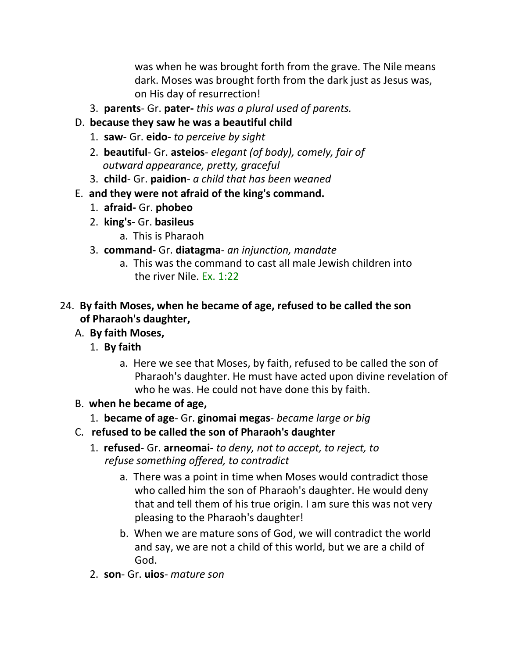was when he was brought forth from the grave. The Nile means dark. Moses was brought forth from the dark just as Jesus was, on His day of resurrection!

3. **parents**- Gr. **pater-** *this was a plural used of parents.*

## D. **because they saw he was a beautiful child**

- 1. **saw** Gr. **eido** *to perceive by sight*
- 2. **beautiful** Gr. **asteios** *elegant (of body), comely, fair of outward appearance, pretty, graceful*
- 3. **child** Gr. **paidion** *a child that has been weaned*
- E. **and they were not afraid of the king's command.**
	- 1. **afraid-** Gr. **phobeo**
	- 2. **king's-** Gr. **basileus**
		- a. This is Pharaoh
	- 3. **command-** Gr. **diatagma** *an injunction, mandate*
		- a. This was the command to cast all male Jewish children into the river Nile. Ex. 1:22

## 24. **By faith Moses, when he became of age, refused to be called the son of Pharaoh's daughter,**

# A. **By faith Moses,**

- 1. **By faith**
	- a. Here we see that Moses, by faith, refused to be called the son of Pharaoh's daughter. He must have acted upon divine revelation of who he was. He could not have done this by faith.
- B. **when he became of age,**
	- 1. **became of age** Gr. **ginomai megas** *became large or big*
- C. **refused to be called the son of Pharaoh's daughter**
	- 1. **refused** Gr. **arneomai-** *to deny, not to accept, to reject, to refuse something offered, to contradict*
		- a. There was a point in time when Moses would contradict those who called him the son of Pharaoh's daughter. He would deny that and tell them of his true origin. I am sure this was not very pleasing to the Pharaoh's daughter!
		- b. When we are mature sons of God, we will contradict the world and say, we are not a child of this world, but we are a child of God.
	- 2. **son** Gr. **uios** *mature son*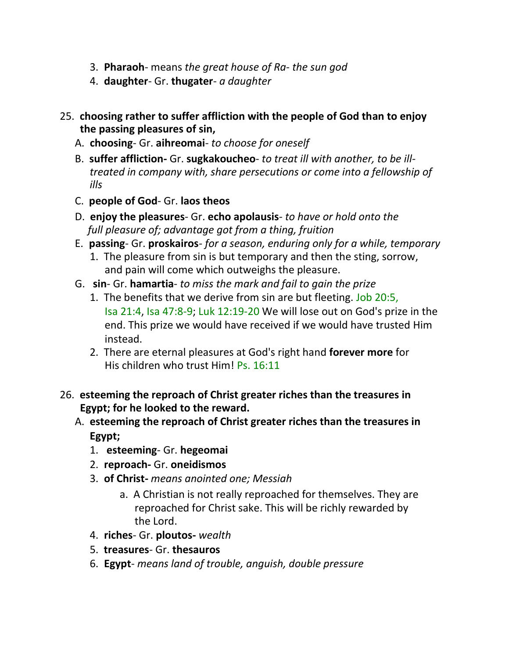- 3. **Pharaoh** means *the great house of Ra- the sun god*
- 4. **daughter** Gr. **thugater** *a daughter*
- 25. **choosing rather to suffer affliction with the people of God than to enjoy the passing pleasures of sin,**
	- A. **choosing** Gr. **aihreomai** *to choose for oneself*
	- B. **suffer affliction-** Gr. **sugkakoucheo** *to treat ill with another, to be illtreated in company with, share persecutions or come into a fellowship of ills*
	- C. **people of God** Gr. **laos theos**
	- D. **enjoy the pleasures** Gr. **echo apolausis** *to have or hold onto the full pleasure of; advantage got from a thing, fruition*
	- E. **passing** Gr. **proskairos** *for a season, enduring only for a while, temporary*
		- 1. The pleasure from sin is but temporary and then the sting, sorrow, and pain will come which outweighs the pleasure.
	- G. **sin** Gr. **hamartia** *to miss the mark and fail to gain the prize*
		- 1. The benefits that we derive from sin are but fleeting. Job 20:5, Isa 21:4, Isa 47:8-9; Luk 12:19-20 We will lose out on God's prize in the end. This prize we would have received if we would have trusted Him instead.
		- 2. There are eternal pleasures at God's right hand **forever more** for His children who trust Him! Ps. 16:11
- 26. **esteeming the reproach of Christ greater riches than the treasures in Egypt; for he looked to the reward.**
	- A. **esteeming the reproach of Christ greater riches than the treasures in Egypt;**
		- 1. **esteeming** Gr. **hegeomai**
		- 2. **reproach-** Gr. **oneidismos**
		- 3. **of Christ-** *means anointed one; Messiah*
			- a. A Christian is not really reproached for themselves. They are reproached for Christ sake. This will be richly rewarded by the Lord.
		- 4. **riches** Gr. **ploutos-** *wealth*
		- 5. **treasures** Gr. **thesauros**
		- 6. **Egypt** *means land of trouble, anguish, double pressure*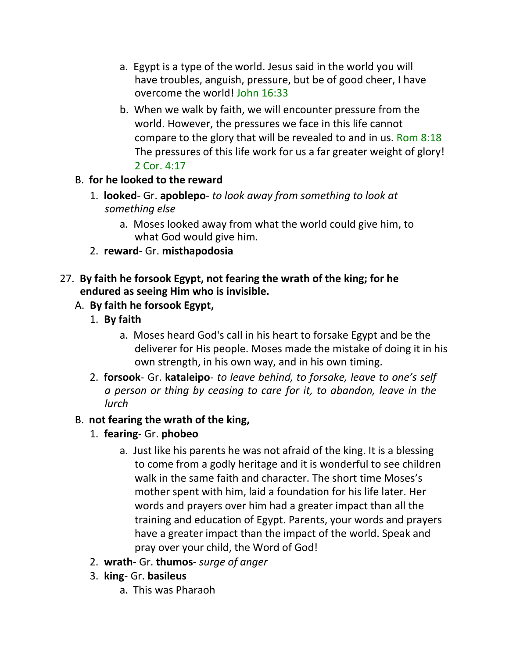- a. Egypt is a type of the world. Jesus said in the world you will have troubles, anguish, pressure, but be of good cheer, I have overcome the world! John 16:33
- b. When we walk by faith, we will encounter pressure from the world. However, the pressures we face in this life cannot compare to the glory that will be revealed to and in us. Rom 8:18 The pressures of this life work for us a far greater weight of glory! 2 Cor. 4:17

## B. **for he looked to the reward**

- 1. **looked** Gr. **apoblepo** *to look away from something to look at something else*
	- a. Moses looked away from what the world could give him, to what God would give him.
- 2. **reward** Gr. **misthapodosia**

### 27. **By faith he forsook Egypt, not fearing the wrath of the king; for he endured as seeing Him who is invisible.**

## A. **By faith he forsook Egypt,**

- 1. **By faith**
	- a. Moses heard God's call in his heart to forsake Egypt and be the deliverer for His people. Moses made the mistake of doing it in his own strength, in his own way, and in his own timing.
- 2. **forsook** Gr. **kataleipo** *to leave behind, to forsake, leave to one's self a person or thing by ceasing to care for it, to abandon, leave in the lurch*

## B. **not fearing the wrath of the king,**

- 1. **fearing** Gr. **phobeo**
	- a. Just like his parents he was not afraid of the king. It is a blessing to come from a godly heritage and it is wonderful to see children walk in the same faith and character. The short time Moses's mother spent with him, laid a foundation for his life later. Her words and prayers over him had a greater impact than all the training and education of Egypt. Parents, your words and prayers have a greater impact than the impact of the world. Speak and pray over your child, the Word of God!
- 2. **wrath-** Gr. **thumos-** *surge of anger*
- 3. **king** Gr. **basileus**
	- a. This was Pharaoh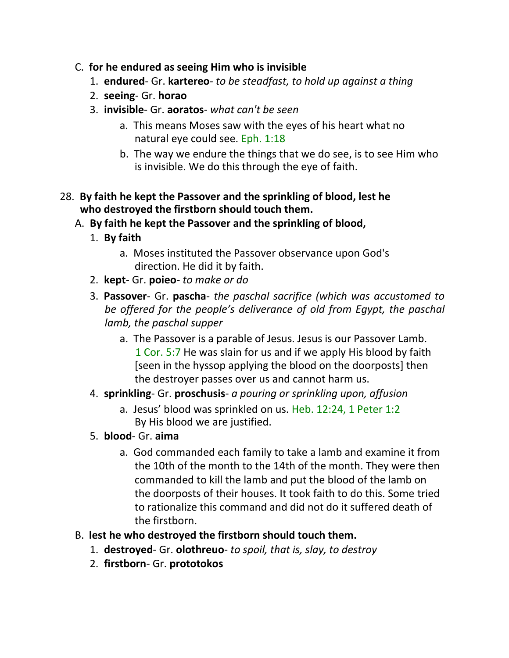- C. **for he endured as seeing Him who is invisible**
	- 1. **endured** Gr. **kartereo** *to be steadfast, to hold up against a thing*
	- 2. **seeing** Gr. **horao**
	- 3. **invisible** Gr. **aoratos** *what can't be seen*
		- a. This means Moses saw with the eyes of his heart what no natural eye could see. Eph. 1:18
		- b. The way we endure the things that we do see, is to see Him who is invisible. We do this through the eye of faith.

### 28. **By faith he kept the Passover and the sprinkling of blood, lest he who destroyed the firstborn should touch them.**

- A. **By faith he kept the Passover and the sprinkling of blood,**
	- 1. **By faith**
		- a. Moses instituted the Passover observance upon God's direction. He did it by faith.
	- 2. **kept** Gr. **poieo** *to make or do*
	- 3. **Passover** Gr. **pascha** *the paschal sacrifice (which was accustomed to be offered for the people's deliverance of old from Egypt, the paschal lamb, the paschal supper*
		- a. The Passover is a parable of Jesus. Jesus is our Passover Lamb. 1 Cor. 5:7 He was slain for us and if we apply His blood by faith [seen in the hyssop applying the blood on the doorposts] then the destroyer passes over us and cannot harm us.
	- 4. **sprinkling** Gr. **proschusis** *a pouring or sprinkling upon, affusion*
		- a. Jesus' blood was sprinkled on us. Heb. 12:24, 1 Peter 1:2 By His blood we are justified.
	- 5. **blood** Gr. **aima**
		- a. God commanded each family to take a lamb and examine it from the 10th of the month to the 14th of the month. They were then commanded to kill the lamb and put the blood of the lamb on the doorposts of their houses. It took faith to do this. Some tried to rationalize this command and did not do it suffered death of the firstborn.
- B. **lest he who destroyed the firstborn should touch them.**
	- 1. **destroyed** Gr. **olothreuo** *to spoil, that is, slay, to destroy*
	- 2. **firstborn** Gr. **prototokos**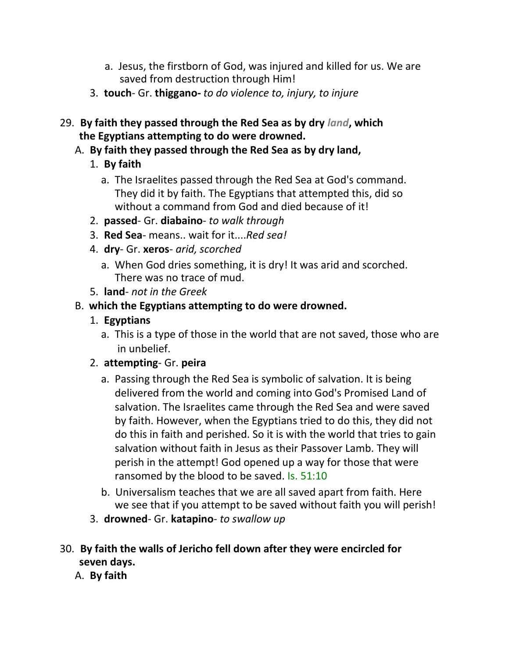- a. Jesus, the firstborn of God, was injured and killed for us. We are saved from destruction through Him!
- 3. **touch** Gr. **thiggano-** *to do violence to, injury, to injure*
- 29. **By faith they passed through the Red Sea as by dry** *land***, which the Egyptians attempting to do were drowned.**
	- A. **By faith they passed through the Red Sea as by dry land,**
		- 1. **By faith**
			- a. The Israelites passed through the Red Sea at God's command. They did it by faith. The Egyptians that attempted this, did so without a command from God and died because of it!
		- 2. **passed** Gr. **diabaino** *to walk through*
		- 3. **Red Sea** means.. wait for it....*Red sea!*
		- 4. **dry** Gr. **xeros** *arid, scorched*
			- a. When God dries something, it is dry! It was arid and scorched. There was no trace of mud.
		- 5. **land** *not in the Greek*
	- B. **which the Egyptians attempting to do were drowned.**
		- 1. **Egyptians**
			- a. This is a type of those in the world that are not saved, those who are in unbelief.
		- 2. **attempting** Gr. **peira**
			- a. Passing through the Red Sea is symbolic of salvation. It is being delivered from the world and coming into God's Promised Land of salvation. The Israelites came through the Red Sea and were saved by faith. However, when the Egyptians tried to do this, they did not do this in faith and perished. So it is with the world that tries to gain salvation without faith in Jesus as their Passover Lamb. They will perish in the attempt! God opened up a way for those that were ransomed by the blood to be saved. Is. 51:10
			- b. Universalism teaches that we are all saved apart from faith. Here we see that if you attempt to be saved without faith you will perish!
		- 3. **drowned** Gr. **katapino** *to swallow up*

## 30. **By faith the walls of Jericho fell down after they were encircled for seven days.**

A. **By faith**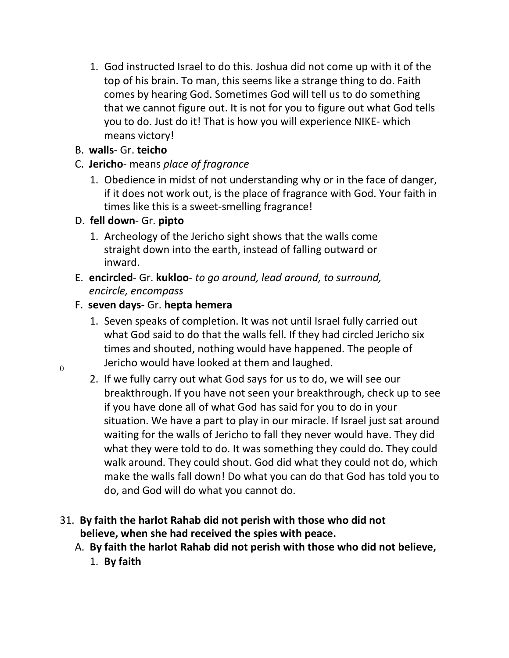1. God instructed Israel to do this. Joshua did not come up with it of the top of his brain. To man, this seems like a strange thing to do. Faith comes by hearing God. Sometimes God will tell us to do something that we cannot figure out. It is not for you to figure out what God tells you to do. Just do it! That is how you will experience NIKE- which means victory!

## B. **walls**- Gr. **teicho**

- C. **Jericho** means *place of fragrance*
	- 1. Obedience in midst of not understanding why or in the face of danger, if it does not work out, is the place of fragrance with God. Your faith in times like this is a sweet-smelling fragrance!

## D. **fell down**- Gr. **pipto**

- 1. Archeology of the Jericho sight shows that the walls come straight down into the earth, instead of falling outward or inward.
- E. **encircled** Gr. **kukloo** *to go around, lead around, to surround, encircle, encompass*

# F. **seven days**- Gr. **hepta hemera**

- 1. Seven speaks of completion. It was not until Israel fully carried out what God said to do that the walls fell. If they had circled Jericho six times and shouted, nothing would have happened. The people of  $\overline{0}$  Jericho would have looked at them and laughed.
	- 2. If we fully carry out what God says for us to do, we will see our breakthrough. If you have not seen your breakthrough, check up to see if you have done all of what God has said for you to do in your situation. We have a part to play in our miracle. If Israel just sat around waiting for the walls of Jericho to fall they never would have. They did what they were told to do. It was something they could do. They could walk around. They could shout. God did what they could not do, which make the walls fall down! Do what you can do that God has told you to do, and God will do what you cannot do.

## 31. **By faith the harlot Rahab did not perish with those who did not believe, when she had received the spies with peace.**

A. **By faith the harlot Rahab did not perish with those who did not believe,** 1. **By faith**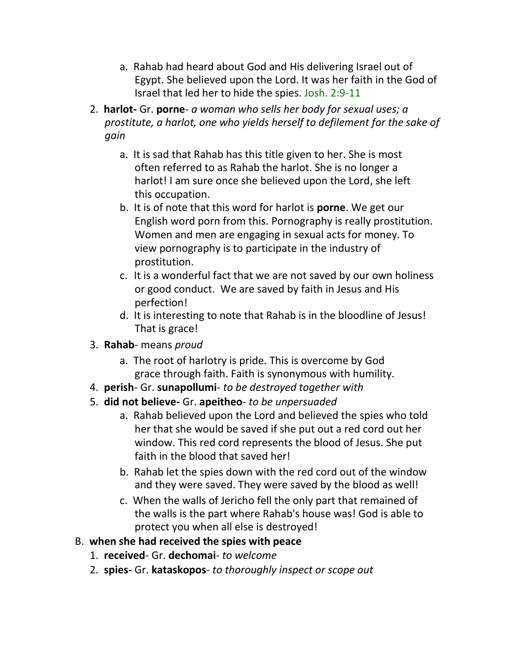- a. Rahab had heard about God and His delivering Israel out of Egypt. She believed upon the Lord. It was her faith in the God of Israel that led her to hide the spies. Josh. 2:9-11
- 2. **harlot-** Gr. **porne** *a woman who sells her body for sexual uses; a prostitute, a harlot, one who yields herself to defilement for the sake of gain*
	- a. It is sad that Rahab has this title given to her. She is most often referred to as Rahab the harlot. She is no longer a harlot! I am sure once she believed upon the Lord, she left this occupation.
	- b. It is of note that this word for harlot is **porne**. We get our English word porn from this. Pornography is really prostitution. Women and men are engaging in sexual acts for money. To view pornography is to participate in the industry of prostitution.
	- c. It is a wonderful fact that we are not saved by our own holiness or good conduct. We are saved by faith in Jesus and His perfection!
	- d. It is interesting to note that Rahab is in the bloodline of Jesus! That is grace!
- 3. **Rahab** means *proud*
	- a. The root of harlotry is pride. This is overcome by God grace through faith. Faith is synonymous with humility.
- 4. **perish** Gr. **sunapollumi** *to be destroyed together with*
- 5. **did not believe-** Gr. **apeitheo** *to be unpersuaded*
	- a. Rahab believed upon the Lord and believed the spies who told her that she would be saved if she put out a red cord out her window. This red cord represents the blood of Jesus. She put faith in the blood that saved her!
	- b. Rahab let the spies down with the red cord out of the window and they were saved. They were saved by the blood as well!
	- c. When the walls of Jericho fell the only part that remained of the walls is the part where Rahab's house was! God is able to protect you when all else is destroyed!
- B. **when she had received the spies with peace**
	- 1. **received** Gr. **dechomai** *to welcome*
	- 2. **spies-** Gr. **kataskopos** *to thoroughly inspect or scope out*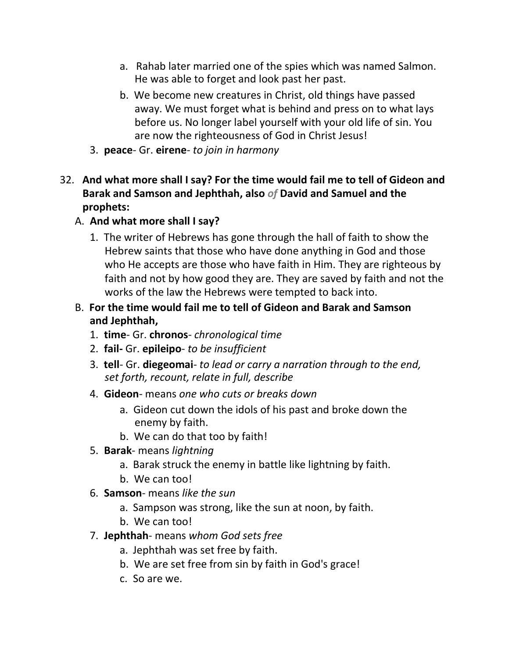- a. Rahab later married one of the spies which was named Salmon. He was able to forget and look past her past.
- b. We become new creatures in Christ, old things have passed away. We must forget what is behind and press on to what lays before us. No longer label yourself with your old life of sin. You are now the righteousness of God in Christ Jesus!
- 3. **peace** Gr. **eirene** *to join in harmony*
- 32. **And what more shall I say? For the time would fail me to tell of Gideon and Barak and Samson and Jephthah, also** *of* **David and Samuel and the prophets:**
	- A. **And what more shall I say?**
		- 1. The writer of Hebrews has gone through the hall of faith to show the Hebrew saints that those who have done anything in God and those who He accepts are those who have faith in Him. They are righteous by faith and not by how good they are. They are saved by faith and not the works of the law the Hebrews were tempted to back into.
	- B. **For the time would fail me to tell of Gideon and Barak and Samson and Jephthah,**
		- 1. **time** Gr. **chronos** *chronological time*
		- 2. **fail-** Gr. **epileipo** *to be insufficient*
		- 3. **tell** Gr. **diegeomai** *to lead or carry a narration through to the end, set forth, recount, relate in full, describe*
		- 4. **Gideon** means *one who cuts or breaks down*
			- a. Gideon cut down the idols of his past and broke down the enemy by faith.
			- b. We can do that too by faith!
		- 5. **Barak** means *lightning*
			- a. Barak struck the enemy in battle like lightning by faith.
			- b. We can too!
		- 6. **Samson** means *like the sun*
			- a. Sampson was strong, like the sun at noon, by faith.
			- b. We can too!
		- 7. **Jephthah** means *whom God sets free*
			- a. Jephthah was set free by faith.
			- b. We are set free from sin by faith in God's grace!
			- c. So are we.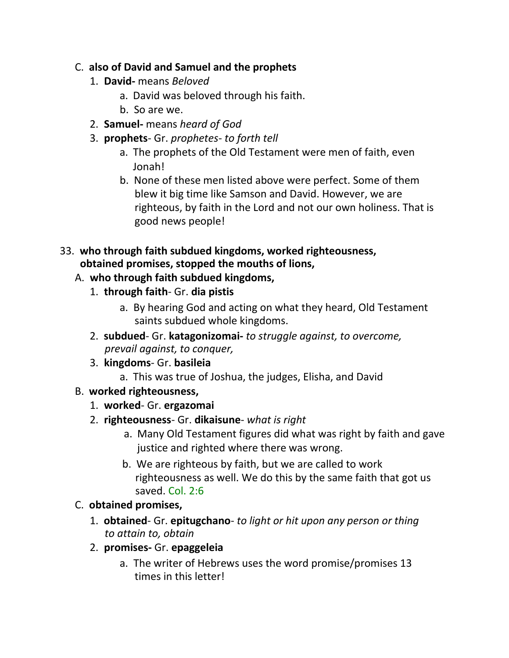## C. **also of David and Samuel and the prophets**

- 1. **David-** means *Beloved*
	- a. David was beloved through his faith.
	- b. So are we.
- 2. **Samuel-** means *heard of God*
- 3. **prophets** Gr. *prophetes- to forth tell*
	- a. The prophets of the Old Testament were men of faith, even Jonah!
	- b. None of these men listed above were perfect. Some of them blew it big time like Samson and David. However, we are righteous, by faith in the Lord and not our own holiness. That is good news people!

### 33. **who through faith subdued kingdoms, worked righteousness, obtained promises, stopped the mouths of lions,**

## A. **who through faith subdued kingdoms,**

- 1. **through faith** Gr. **dia pistis**
	- a. By hearing God and acting on what they heard, Old Testament saints subdued whole kingdoms.
- 2. **subdued** Gr. **katagonizomai-** *to struggle against, to overcome, prevail against, to conquer,*
- 3. **kingdoms** Gr. **basileia**
	- a. This was true of Joshua, the judges, Elisha, and David
- B. **worked righteousness,**
	- 1. **worked** Gr. **ergazomai**
	- 2. **righteousness** Gr. **dikaisune** *what is right*
		- a. Many Old Testament figures did what was right by faith and gave justice and righted where there was wrong.
		- b. We are righteous by faith, but we are called to work righteousness as well. We do this by the same faith that got us saved. Col. 2:6
- C. **obtained promises,**
	- 1. **obtained** Gr. **epitugchano** *to light or hit upon any person or thing to attain to, obtain*
	- 2. **promises-** Gr. **epaggeleia**
		- a. The writer of Hebrews uses the word promise/promises 13 times in this letter!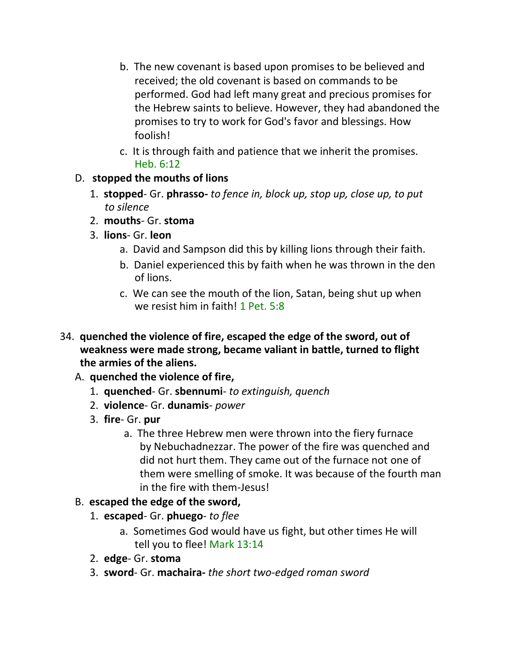- b. The new covenant is based upon promises to be believed and received; the old covenant is based on commands to be performed. God had left many great and precious promises for the Hebrew saints to believe. However, they had abandoned the promises to try to work for God's favor and blessings. How foolish!
- c. It is through faith and patience that we inherit the promises. Heb. 6:12

## D. **stopped the mouths of lions**

- 1. **stopped** Gr. **phrasso-** *to fence in, block up, stop up, close up, to put to silence*
- 2. **mouths** Gr. **stoma**
- 3. **lions** Gr. **leon**
	- a. David and Sampson did this by killing lions through their faith.
	- b. Daniel experienced this by faith when he was thrown in the den of lions.
	- c. We can see the mouth of the lion, Satan, being shut up when we resist him in faith! 1 Pet. 5:8
- 34. **quenched the violence of fire, escaped the edge of the sword, out of weakness were made strong, became valiant in battle, turned to flight the armies of the aliens.**
	- A. **quenched the violence of fire,**
		- 1. **quenched** Gr. **sbennumi** *to extinguish, quench*
		- 2. **violence** Gr. **dunamis** *power*
		- 3. **fire** Gr. **pur**
			- a. The three Hebrew men were thrown into the fiery furnace by Nebuchadnezzar. The power of the fire was quenched and did not hurt them. They came out of the furnace not one of them were smelling of smoke. It was because of the fourth man in the fire with them-Jesus!

# B. **escaped the edge of the sword,**

- 1. **escaped** Gr. **phuego** *to flee*
	- a. Sometimes God would have us fight, but other times He will tell you to flee! Mark 13:14
- 2. **edge** Gr. **stoma**
- 3. **sword** Gr. **machaira-** *the short two-edged roman sword*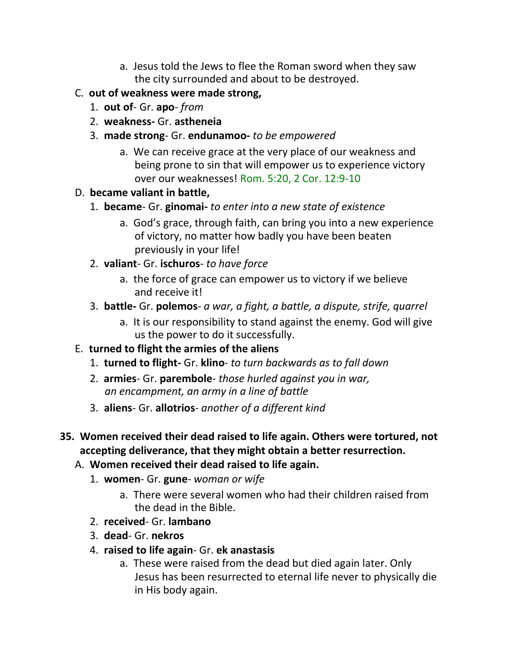- a. Jesus told the Jews to flee the Roman sword when they saw the city surrounded and about to be destroyed.
- C. **out of weakness were made strong,**
	- 1. **out of** Gr. **apo** *from*
	- 2. **weakness-** Gr. **astheneia**
	- 3. **made strong** Gr. **endunamoo-** *to be empowered*
		- a. We can receive grace at the very place of our weakness and being prone to sin that will empower us to experience victory over our weaknesses! Rom. 5:20, 2 Cor. 12:9-10

# D. **became valiant in battle,**

- 1. **became** Gr. **ginomai-** *to enter into a new state of existence*
	- a. God's grace, through faith, can bring you into a new experience of victory, no matter how badly you have been beaten previously in your life!
- 2. **valiant** Gr. **ischuros** *to have force*
	- a. the force of grace can empower us to victory if we believe and receive it!
- 3. **battle-** Gr. **polemos** *a war, a fight, a battle, a dispute, strife, quarrel*
	- a. It is our responsibility to stand against the enemy. God will give us the power to do it successfully.
- E. **turned to flight the armies of the aliens**
	- 1. **turned to flight-** Gr. **klino** *to turn backwards as to fall down*
	- 2. **armies** Gr. **parembole** *those hurled against you in war, an encampment, an army in a line of battle*
	- 3. **aliens** Gr. **allotrios** *another of a different kind*
- **35. Women received their dead raised to life again. Others were tortured, not accepting deliverance, that they might obtain a better resurrection.**
	- A. **Women received their dead raised to life again.**
		- 1. **women** Gr. **gune** *woman or wife*
			- a. There were several women who had their children raised from the dead in the Bible.
		- 2. **received** Gr. **lambano**
		- 3. **dead** Gr. **nekros**
		- 4. **raised to life again** Gr. **ek anastasis**
			- a. These were raised from the dead but died again later. Only Jesus has been resurrected to eternal life never to physically die in His body again.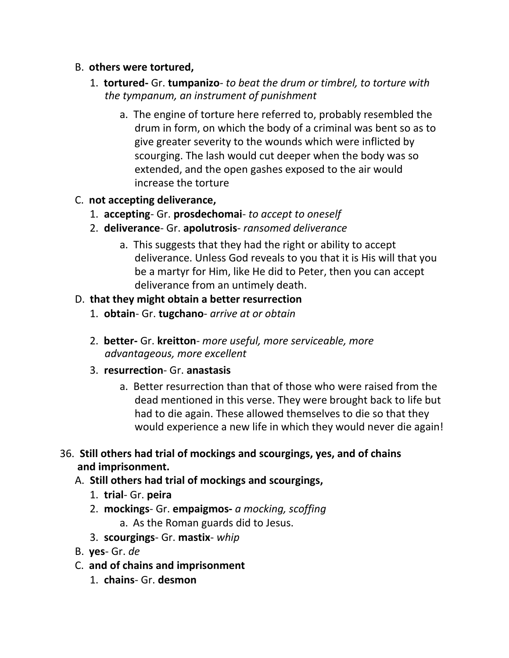#### B. **others were tortured,**

- 1. **tortured-** Gr. **tumpanizo** *to beat the drum or timbrel, to torture with the tympanum, an instrument of punishment*
	- a. The engine of torture here referred to, probably resembled the drum in form, on which the body of a criminal was bent so as to give greater severity to the wounds which were inflicted by scourging. The lash would cut deeper when the body was so extended, and the open gashes exposed to the air would increase the torture

## C. **not accepting deliverance,**

- 1. **accepting** Gr. **prosdechomai** *to accept to oneself*
- 2. **deliverance** Gr. **apolutrosis** *ransomed deliverance*
	- a. This suggests that they had the right or ability to accept deliverance. Unless God reveals to you that it is His will that you be a martyr for Him, like He did to Peter, then you can accept deliverance from an untimely death.

## D. **that they might obtain a better resurrection**

- 1. **obtain** Gr. **tugchano** *arrive at or obtain*
- 2. **better-** Gr. **kreitton** *more useful, more serviceable, more advantageous, more excellent*
- 3. **resurrection** Gr. **anastasis**
	- a. Better resurrection than that of those who were raised from the dead mentioned in this verse. They were brought back to life but had to die again. These allowed themselves to die so that they would experience a new life in which they would never die again!

## 36. **Still others had trial of mockings and scourgings, yes, and of chains and imprisonment.**

## A. **Still others had trial of mockings and scourgings,**

- 1. **trial** Gr. **peira**
- 2. **mockings** Gr. **empaigmos-** *a mocking, scoffing* a. As the Roman guards did to Jesus.
- 3. **scourgings** Gr. **mastix** *whip*
- B. **yes** Gr. *de*
- C. **and of chains and imprisonment**
	- 1. **chains** Gr. **desmon**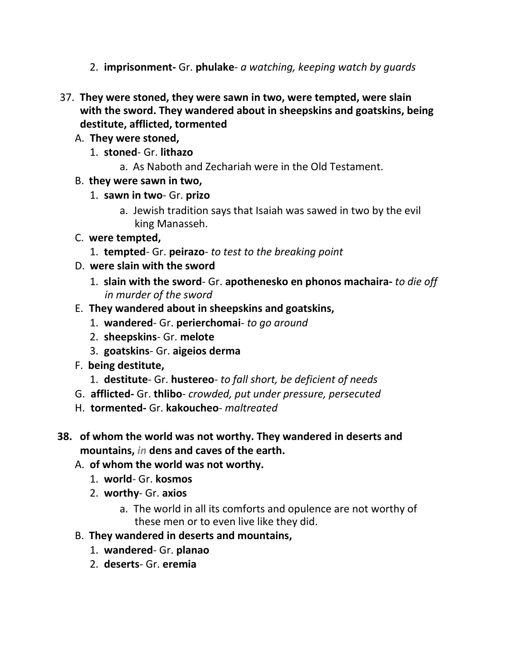- 2. **imprisonment-** Gr. **phulake** *a watching, keeping watch by guards*
- 37. **They were stoned, they were sawn in two, were tempted, were slain with the sword. They wandered about in sheepskins and goatskins, being destitute, afflicted, tormented**
	- A. **They were stoned,**
		- 1. **stoned** Gr. **lithazo**
			- a. As Naboth and Zechariah were in the Old Testament.
	- B. **they were sawn in two,**
		- 1. **sawn in two** Gr. **prizo**
			- a. Jewish tradition says that Isaiah was sawed in two by the evil king Manasseh.
	- C. **were tempted,**
		- 1. **tempted** Gr. **peirazo** *to test to the breaking point*
	- D. **were slain with the sword**
		- 1. **slain with the sword** Gr. **apothenesko en phonos machaira-** *to die off in murder of the sword*
	- E. **They wandered about in sheepskins and goatskins,**
		- 1. **wandered** Gr. **perierchomai** *to go around*
		- 2. **sheepskins** Gr. **melote**
		- 3. **goatskins** Gr. **aigeios derma**
	- F. **being destitute,**
		- 1. **destitute** Gr. **hustereo** *to fall short, be deficient of needs*
	- G. **afflicted-** Gr. **thlibo** *crowded, put under pressure, persecuted*
	- H. **tormented-** Gr. **kakoucheo** *maltreated*
- **38. of whom the world was not worthy. They wandered in deserts and mountains,** *in* **dens and caves of the earth.**
	- A. **of whom the world was not worthy.**
		- 1. **world** Gr. **kosmos**
		- 2. **worthy** Gr. **axios**
			- a. The world in all its comforts and opulence are not worthy of these men or to even live like they did.
	- B. **They wandered in deserts and mountains,**
		- 1. **wandered** Gr. **planao**
		- 2. **deserts** Gr. **eremia**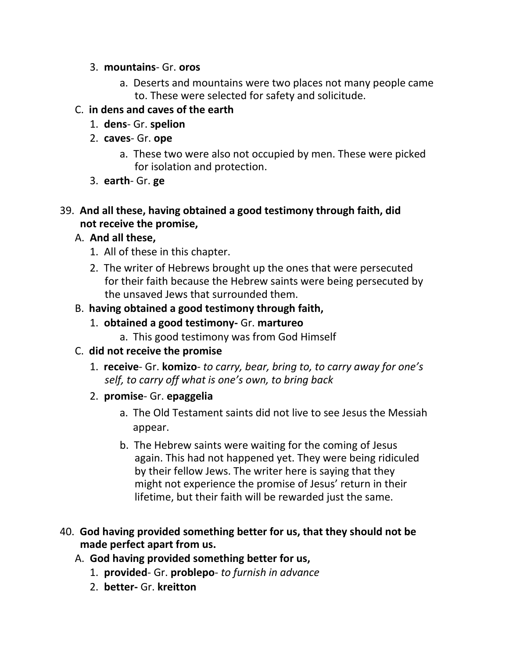#### 3. **mountains**- Gr. **oros**

a. Deserts and mountains were two places not many people came to. These were selected for safety and solicitude.

## C. **in dens and caves of the earth**

- 1. **dens** Gr. **spelion**
- 2. **caves** Gr. **ope**
	- a. These two were also not occupied by men. These were picked for isolation and protection.
- 3. **earth** Gr. **ge**

### 39. **And all these, having obtained a good testimony through faith, did not receive the promise,**

## A. **And all these,**

- 1. All of these in this chapter.
- 2. The writer of Hebrews brought up the ones that were persecuted for their faith because the Hebrew saints were being persecuted by the unsaved Jews that surrounded them.

## B. **having obtained a good testimony through faith,**

- 1. **obtained a good testimony-** Gr. **martureo**
	- a. This good testimony was from God Himself

#### C. **did not receive the promise**

- 1. **receive** Gr. **komizo** *to carry, bear, bring to, to carry away for one's self, to carry off what is one's own, to bring back*
- 2. **promise** Gr. **epaggelia**
	- a. The Old Testament saints did not live to see Jesus the Messiah appear.
	- b. The Hebrew saints were waiting for the coming of Jesus again. This had not happened yet. They were being ridiculed by their fellow Jews. The writer here is saying that they might not experience the promise of Jesus' return in their lifetime, but their faith will be rewarded just the same.
- 40. **God having provided something better for us, that they should not be made perfect apart from us.**
	- A. **God having provided something better for us,**
		- 1. **provided** Gr. **problepo** *to furnish in advance*
		- 2. **better-** Gr. **kreitton**